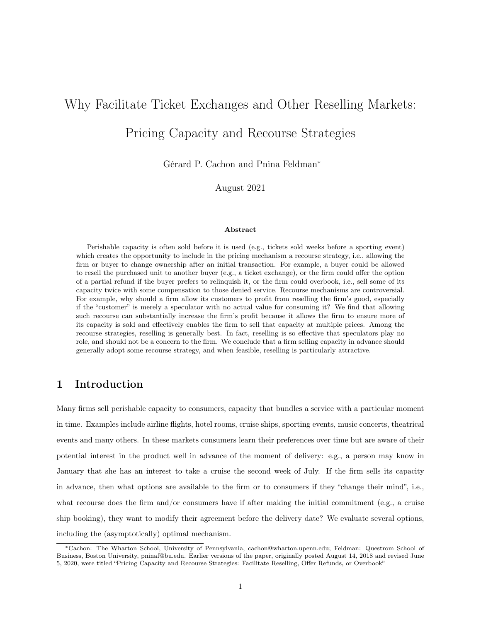# Why Facilitate Ticket Exchanges and Other Reselling Markets:

# Pricing Capacity and Recourse Strategies

Gérard P. Cachon and Pnina Feldman<sup>∗</sup>

August 2021

#### Abstract

Perishable capacity is often sold before it is used (e.g., tickets sold weeks before a sporting event) which creates the opportunity to include in the pricing mechanism a recourse strategy, i.e., allowing the firm or buyer to change ownership after an initial transaction. For example, a buyer could be allowed to resell the purchased unit to another buyer (e.g., a ticket exchange), or the firm could offer the option of a partial refund if the buyer prefers to relinquish it, or the firm could overbook, i.e., sell some of its capacity twice with some compensation to those denied service. Recourse mechanisms are controversial. For example, why should a firm allow its customers to profit from reselling the firm's good, especially if the "customer" is merely a speculator with no actual value for consuming it? We find that allowing such recourse can substantially increase the firm's profit because it allows the firm to ensure more of its capacity is sold and effectively enables the firm to sell that capacity at multiple prices. Among the recourse strategies, reselling is generally best. In fact, reselling is so effective that speculators play no role, and should not be a concern to the firm. We conclude that a firm selling capacity in advance should generally adopt some recourse strategy, and when feasible, reselling is particularly attractive.

# 1 Introduction

Many firms sell perishable capacity to consumers, capacity that bundles a service with a particular moment in time. Examples include airline flights, hotel rooms, cruise ships, sporting events, music concerts, theatrical events and many others. In these markets consumers learn their preferences over time but are aware of their potential interest in the product well in advance of the moment of delivery: e.g., a person may know in January that she has an interest to take a cruise the second week of July. If the firm sells its capacity in advance, then what options are available to the firm or to consumers if they "change their mind", i.e., what recourse does the firm and/or consumers have if after making the initial commitment (e.g., a cruise ship booking), they want to modify their agreement before the delivery date? We evaluate several options, including the (asymptotically) optimal mechanism.

<sup>∗</sup>Cachon: The Wharton School, University of Pennsylvania, cachon@wharton.upenn.edu; Feldman: Questrom School of Business, Boston University, pninaf@bu.edu. Earlier versions of the paper, originally posted August 14, 2018 and revised June 5, 2020, were titled "Pricing Capacity and Recourse Strategies: Facilitate Reselling, Offer Refunds, or Overbook"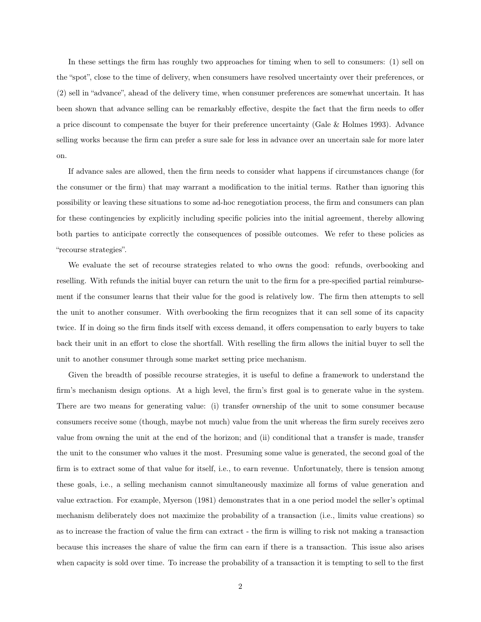In these settings the firm has roughly two approaches for timing when to sell to consumers: (1) sell on the "spot", close to the time of delivery, when consumers have resolved uncertainty over their preferences, or (2) sell in "advance", ahead of the delivery time, when consumer preferences are somewhat uncertain. It has been shown that advance selling can be remarkably effective, despite the fact that the firm needs to offer a price discount to compensate the buyer for their preference uncertainty (Gale & Holmes 1993). Advance selling works because the firm can prefer a sure sale for less in advance over an uncertain sale for more later on.

If advance sales are allowed, then the firm needs to consider what happens if circumstances change (for the consumer or the firm) that may warrant a modification to the initial terms. Rather than ignoring this possibility or leaving these situations to some ad-hoc renegotiation process, the firm and consumers can plan for these contingencies by explicitly including specific policies into the initial agreement, thereby allowing both parties to anticipate correctly the consequences of possible outcomes. We refer to these policies as "recourse strategies".

We evaluate the set of recourse strategies related to who owns the good: refunds, overbooking and reselling. With refunds the initial buyer can return the unit to the firm for a pre-specified partial reimbursement if the consumer learns that their value for the good is relatively low. The firm then attempts to sell the unit to another consumer. With overbooking the firm recognizes that it can sell some of its capacity twice. If in doing so the firm finds itself with excess demand, it offers compensation to early buyers to take back their unit in an effort to close the shortfall. With reselling the firm allows the initial buyer to sell the unit to another consumer through some market setting price mechanism.

Given the breadth of possible recourse strategies, it is useful to define a framework to understand the firm's mechanism design options. At a high level, the firm's first goal is to generate value in the system. There are two means for generating value: (i) transfer ownership of the unit to some consumer because consumers receive some (though, maybe not much) value from the unit whereas the firm surely receives zero value from owning the unit at the end of the horizon; and (ii) conditional that a transfer is made, transfer the unit to the consumer who values it the most. Presuming some value is generated, the second goal of the firm is to extract some of that value for itself, i.e., to earn revenue. Unfortunately, there is tension among these goals, i.e., a selling mechanism cannot simultaneously maximize all forms of value generation and value extraction. For example, Myerson (1981) demonstrates that in a one period model the seller's optimal mechanism deliberately does not maximize the probability of a transaction (i.e., limits value creations) so as to increase the fraction of value the firm can extract - the firm is willing to risk not making a transaction because this increases the share of value the firm can earn if there is a transaction. This issue also arises when capacity is sold over time. To increase the probability of a transaction it is tempting to sell to the first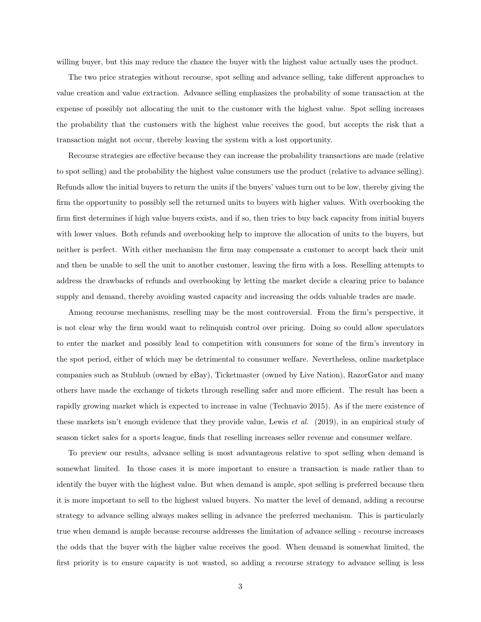willing buyer, but this may reduce the chance the buyer with the highest value actually uses the product.

The two price strategies without recourse, spot selling and advance selling, take different approaches to value creation and value extraction. Advance selling emphasizes the probability of some transaction at the expense of possibly not allocating the unit to the customer with the highest value. Spot selling increases the probability that the customers with the highest value receives the good, but accepts the risk that a transaction might not occur, thereby leaving the system with a lost opportunity.

Recourse strategies are effective because they can increase the probability transactions are made (relative to spot selling) and the probability the highest value consumers use the product (relative to advance selling). Refunds allow the initial buyers to return the units if the buyers' values turn out to be low, thereby giving the firm the opportunity to possibly sell the returned units to buyers with higher values. With overbooking the firm first determines if high value buyers exists, and if so, then tries to buy back capacity from initial buyers with lower values. Both refunds and overbooking help to improve the allocation of units to the buyers, but neither is perfect. With either mechanism the firm may compensate a customer to accept back their unit and then be unable to sell the unit to another customer, leaving the firm with a loss. Reselling attempts to address the drawbacks of refunds and overbooking by letting the market decide a clearing price to balance supply and demand, thereby avoiding wasted capacity and increasing the odds valuable trades are made.

Among recourse mechanisms, reselling may be the most controversial. From the firm's perspective, it is not clear why the firm would want to relinquish control over pricing. Doing so could allow speculators to enter the market and possibly lead to competition with consumers for some of the firm's inventory in the spot period, either of which may be detrimental to consumer welfare. Nevertheless, online marketplace companies such as Stubhub (owned by eBay), Ticketmaster (owned by Live Nation), RazorGator and many others have made the exchange of tickets through reselling safer and more efficient. The result has been a rapidly growing market which is expected to increase in value (Technavio 2015). As if the mere existence of these markets isn't enough evidence that they provide value, Lewis et al. (2019), in an empirical study of season ticket sales for a sports league, finds that reselling increases seller revenue and consumer welfare.

To preview our results, advance selling is most advantageous relative to spot selling when demand is somewhat limited. In those cases it is more important to ensure a transaction is made rather than to identify the buyer with the highest value. But when demand is ample, spot selling is preferred because then it is more important to sell to the highest valued buyers. No matter the level of demand, adding a recourse strategy to advance selling always makes selling in advance the preferred mechanism. This is particularly true when demand is ample because recourse addresses the limitation of advance selling - recourse increases the odds that the buyer with the higher value receives the good. When demand is somewhat limited, the first priority is to ensure capacity is not wasted, so adding a recourse strategy to advance selling is less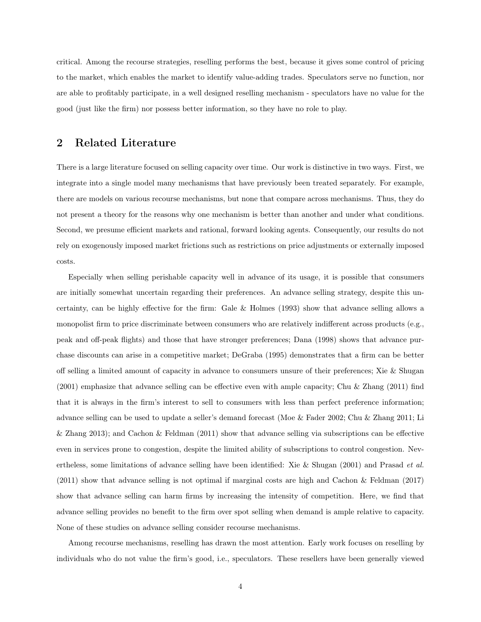critical. Among the recourse strategies, reselling performs the best, because it gives some control of pricing to the market, which enables the market to identify value-adding trades. Speculators serve no function, nor are able to profitably participate, in a well designed reselling mechanism - speculators have no value for the good (just like the firm) nor possess better information, so they have no role to play.

# 2 Related Literature

There is a large literature focused on selling capacity over time. Our work is distinctive in two ways. First, we integrate into a single model many mechanisms that have previously been treated separately. For example, there are models on various recourse mechanisms, but none that compare across mechanisms. Thus, they do not present a theory for the reasons why one mechanism is better than another and under what conditions. Second, we presume efficient markets and rational, forward looking agents. Consequently, our results do not rely on exogenously imposed market frictions such as restrictions on price adjustments or externally imposed costs.

Especially when selling perishable capacity well in advance of its usage, it is possible that consumers are initially somewhat uncertain regarding their preferences. An advance selling strategy, despite this uncertainty, can be highly effective for the firm: Gale & Holmes (1993) show that advance selling allows a monopolist firm to price discriminate between consumers who are relatively indifferent across products (e.g., peak and off-peak flights) and those that have stronger preferences; Dana (1998) shows that advance purchase discounts can arise in a competitive market; DeGraba (1995) demonstrates that a firm can be better off selling a limited amount of capacity in advance to consumers unsure of their preferences; Xie & Shugan (2001) emphasize that advance selling can be effective even with ample capacity; Chu & Zhang (2011) find that it is always in the firm's interest to sell to consumers with less than perfect preference information; advance selling can be used to update a seller's demand forecast (Moe & Fader 2002; Chu & Zhang 2011; Li & Zhang 2013); and Cachon & Feldman (2011) show that advance selling via subscriptions can be effective even in services prone to congestion, despite the limited ability of subscriptions to control congestion. Nevertheless, some limitations of advance selling have been identified: Xie & Shugan (2001) and Prasad et al. (2011) show that advance selling is not optimal if marginal costs are high and Cachon & Feldman (2017) show that advance selling can harm firms by increasing the intensity of competition. Here, we find that advance selling provides no benefit to the firm over spot selling when demand is ample relative to capacity. None of these studies on advance selling consider recourse mechanisms.

Among recourse mechanisms, reselling has drawn the most attention. Early work focuses on reselling by individuals who do not value the firm's good, i.e., speculators. These resellers have been generally viewed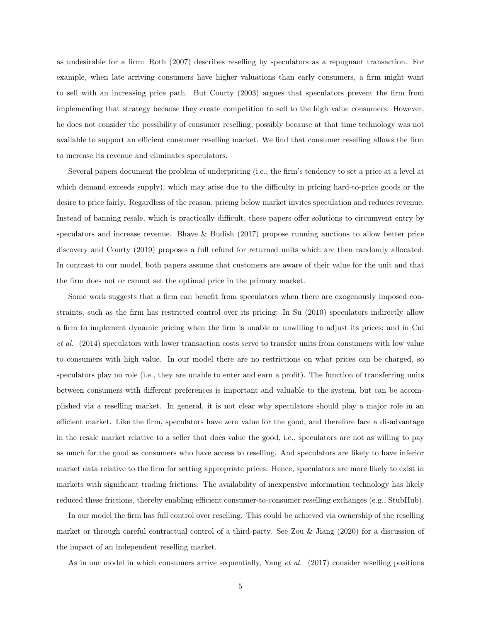as undesirable for a firm: Roth (2007) describes reselling by speculators as a repugnant transaction. For example, when late arriving consumers have higher valuations than early consumers, a firm might want to sell with an increasing price path. But Courty (2003) argues that speculators prevent the firm from implementing that strategy because they create competition to sell to the high value consumers. However, he does not consider the possibility of consumer reselling, possibly because at that time technology was not available to support an efficient consumer reselling market. We find that consumer reselling allows the firm to increase its revenue and eliminates speculators.

Several papers document the problem of underpricing (i.e., the firm's tendency to set a price at a level at which demand exceeds supply), which may arise due to the difficulty in pricing hard-to-price goods or the desire to price fairly. Regardless of the reason, pricing below market invites speculation and reduces revenue. Instead of banning resale, which is practically difficult, these papers offer solutions to circumvent entry by speculators and increase revenue. Bhave & Budish (2017) propose running auctions to allow better price discovery and Courty (2019) proposes a full refund for returned units which are then randomly allocated. In contrast to our model, both papers assume that customers are aware of their value for the unit and that the firm does not or cannot set the optimal price in the primary market.

Some work suggests that a firm can benefit from speculators when there are exogenously imposed constraints, such as the firm has restricted control over its pricing: In Su (2010) speculators indirectly allow a firm to implement dynamic pricing when the firm is unable or unwilling to adjust its prices; and in Cui et al. (2014) speculators with lower transaction costs serve to transfer units from consumers with low value to consumers with high value. In our model there are no restrictions on what prices can be charged, so speculators play no role (i.e., they are unable to enter and earn a profit). The function of transferring units between consumers with different preferences is important and valuable to the system, but can be accomplished via a reselling market. In general, it is not clear why speculators should play a major role in an efficient market. Like the firm, speculators have zero value for the good, and therefore face a disadvantage in the resale market relative to a seller that does value the good, i.e., speculators are not as willing to pay as much for the good as consumers who have access to reselling. And speculators are likely to have inferior market data relative to the firm for setting appropriate prices. Hence, speculators are more likely to exist in markets with significant trading frictions. The availability of inexpensive information technology has likely reduced these frictions, thereby enabling efficient consumer-to-consumer reselling exchanges (e.g., StubHub).

In our model the firm has full control over reselling. This could be achieved via ownership of the reselling market or through careful contractual control of a third-party. See Zou & Jiang (2020) for a discussion of the impact of an independent reselling market.

As in our model in which consumers arrive sequentially, Yang *et al.* (2017) consider reselling positions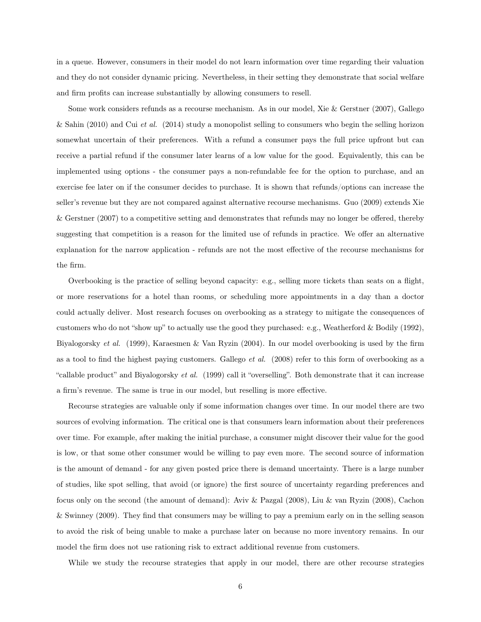in a queue. However, consumers in their model do not learn information over time regarding their valuation and they do not consider dynamic pricing. Nevertheless, in their setting they demonstrate that social welfare and firm profits can increase substantially by allowing consumers to resell.

Some work considers refunds as a recourse mechanism. As in our model, Xie & Gerstner (2007), Gallego & Sahin (2010) and Cui et al. (2014) study a monopolist selling to consumers who begin the selling horizon somewhat uncertain of their preferences. With a refund a consumer pays the full price upfront but can receive a partial refund if the consumer later learns of a low value for the good. Equivalently, this can be implemented using options - the consumer pays a non-refundable fee for the option to purchase, and an exercise fee later on if the consumer decides to purchase. It is shown that refunds/options can increase the seller's revenue but they are not compared against alternative recourse mechanisms. Guo (2009) extends Xie & Gerstner (2007) to a competitive setting and demonstrates that refunds may no longer be offered, thereby suggesting that competition is a reason for the limited use of refunds in practice. We offer an alternative explanation for the narrow application - refunds are not the most effective of the recourse mechanisms for the firm.

Overbooking is the practice of selling beyond capacity: e.g., selling more tickets than seats on a flight, or more reservations for a hotel than rooms, or scheduling more appointments in a day than a doctor could actually deliver. Most research focuses on overbooking as a strategy to mitigate the consequences of customers who do not "show up" to actually use the good they purchased: e.g., Weatherford & Bodily (1992), Biyalogorsky et al. (1999), Karaesmen & Van Ryzin (2004). In our model overbooking is used by the firm as a tool to find the highest paying customers. Gallego  $et \ al.$  (2008) refer to this form of overbooking as a "callable product" and Biyalogorsky et al. (1999) call it "overselling". Both demonstrate that it can increase a firm's revenue. The same is true in our model, but reselling is more effective.

Recourse strategies are valuable only if some information changes over time. In our model there are two sources of evolving information. The critical one is that consumers learn information about their preferences over time. For example, after making the initial purchase, a consumer might discover their value for the good is low, or that some other consumer would be willing to pay even more. The second source of information is the amount of demand - for any given posted price there is demand uncertainty. There is a large number of studies, like spot selling, that avoid (or ignore) the first source of uncertainty regarding preferences and focus only on the second (the amount of demand): Aviv & Pazgal (2008), Liu & van Ryzin (2008), Cachon & Swinney (2009). They find that consumers may be willing to pay a premium early on in the selling season to avoid the risk of being unable to make a purchase later on because no more inventory remains. In our model the firm does not use rationing risk to extract additional revenue from customers.

While we study the recourse strategies that apply in our model, there are other recourse strategies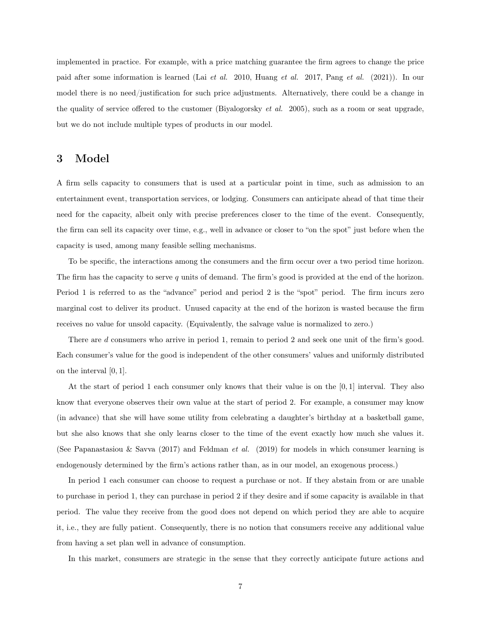implemented in practice. For example, with a price matching guarantee the firm agrees to change the price paid after some information is learned (Lai et al. 2010, Huang et al. 2017, Pang et al. (2021)). In our model there is no need/justification for such price adjustments. Alternatively, there could be a change in the quality of service offered to the customer (Biyalogorsky *et al.* 2005), such as a room or seat upgrade, but we do not include multiple types of products in our model.

## 3 Model

A firm sells capacity to consumers that is used at a particular point in time, such as admission to an entertainment event, transportation services, or lodging. Consumers can anticipate ahead of that time their need for the capacity, albeit only with precise preferences closer to the time of the event. Consequently, the firm can sell its capacity over time, e.g., well in advance or closer to "on the spot" just before when the capacity is used, among many feasible selling mechanisms.

To be specific, the interactions among the consumers and the firm occur over a two period time horizon. The firm has the capacity to serve q units of demand. The firm's good is provided at the end of the horizon. Period 1 is referred to as the "advance" period and period 2 is the "spot" period. The firm incurs zero marginal cost to deliver its product. Unused capacity at the end of the horizon is wasted because the firm receives no value for unsold capacity. (Equivalently, the salvage value is normalized to zero.)

There are d consumers who arrive in period 1, remain to period 2 and seek one unit of the firm's good. Each consumer's value for the good is independent of the other consumers' values and uniformly distributed on the interval [0, 1].

At the start of period 1 each consumer only knows that their value is on the  $[0, 1]$  interval. They also know that everyone observes their own value at the start of period 2. For example, a consumer may know (in advance) that she will have some utility from celebrating a daughter's birthday at a basketball game, but she also knows that she only learns closer to the time of the event exactly how much she values it. (See Papanastasiou & Savva (2017) and Feldman *et al.* (2019) for models in which consumer learning is endogenously determined by the firm's actions rather than, as in our model, an exogenous process.)

In period 1 each consumer can choose to request a purchase or not. If they abstain from or are unable to purchase in period 1, they can purchase in period 2 if they desire and if some capacity is available in that period. The value they receive from the good does not depend on which period they are able to acquire it, i.e., they are fully patient. Consequently, there is no notion that consumers receive any additional value from having a set plan well in advance of consumption.

In this market, consumers are strategic in the sense that they correctly anticipate future actions and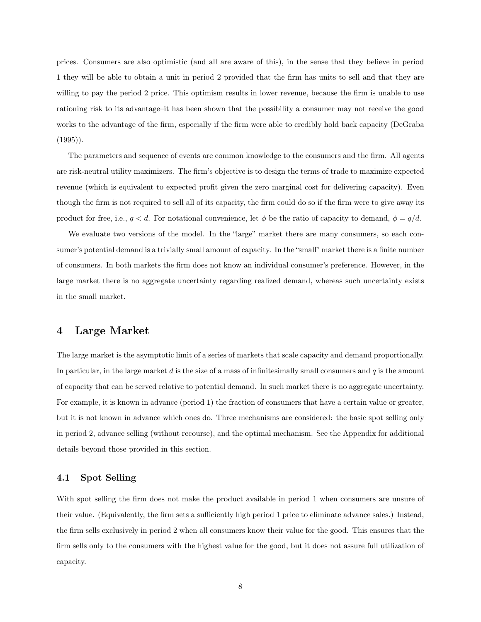prices. Consumers are also optimistic (and all are aware of this), in the sense that they believe in period 1 they will be able to obtain a unit in period 2 provided that the firm has units to sell and that they are willing to pay the period 2 price. This optimism results in lower revenue, because the firm is unable to use rationing risk to its advantage–it has been shown that the possibility a consumer may not receive the good works to the advantage of the firm, especially if the firm were able to credibly hold back capacity (DeGraba  $(1995)$ .

The parameters and sequence of events are common knowledge to the consumers and the firm. All agents are risk-neutral utility maximizers. The firm's objective is to design the terms of trade to maximize expected revenue (which is equivalent to expected profit given the zero marginal cost for delivering capacity). Even though the firm is not required to sell all of its capacity, the firm could do so if the firm were to give away its product for free, i.e.,  $q < d$ . For notational convenience, let  $\phi$  be the ratio of capacity to demand,  $\phi = q/d$ .

We evaluate two versions of the model. In the "large" market there are many consumers, so each consumer's potential demand is a trivially small amount of capacity. In the "small" market there is a finite number of consumers. In both markets the firm does not know an individual consumer's preference. However, in the large market there is no aggregate uncertainty regarding realized demand, whereas such uncertainty exists in the small market.

### 4 Large Market

The large market is the asymptotic limit of a series of markets that scale capacity and demand proportionally. In particular, in the large market d is the size of a mass of infinitesimally small consumers and  $q$  is the amount of capacity that can be served relative to potential demand. In such market there is no aggregate uncertainty. For example, it is known in advance (period 1) the fraction of consumers that have a certain value or greater, but it is not known in advance which ones do. Three mechanisms are considered: the basic spot selling only in period 2, advance selling (without recourse), and the optimal mechanism. See the Appendix for additional details beyond those provided in this section.

#### 4.1 Spot Selling

With spot selling the firm does not make the product available in period 1 when consumers are unsure of their value. (Equivalently, the firm sets a sufficiently high period 1 price to eliminate advance sales.) Instead, the firm sells exclusively in period 2 when all consumers know their value for the good. This ensures that the firm sells only to the consumers with the highest value for the good, but it does not assure full utilization of capacity.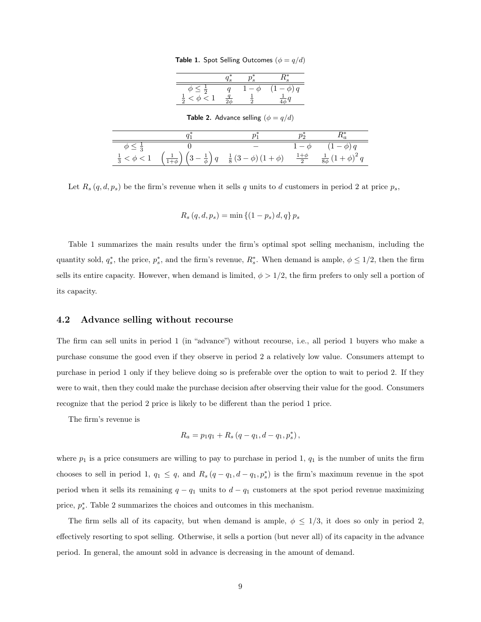Table 1. Spot Selling Outcomes  $(\phi = q/d)$ 

**Table 2.** Advance selling  $(\phi = q/d)$ 

| $\phi \leq \frac{1}{3}$  |                                                                                                                                                                        | $(1-\phi)q$ |
|--------------------------|------------------------------------------------------------------------------------------------------------------------------------------------------------------------|-------------|
| $\frac{1}{3} < \phi < 1$ | $\left(\frac{1}{1+\phi}\right)\left(3-\frac{1}{\phi}\right)q-\frac{1}{8}\left(3-\phi\right)\left(1+\phi\right)-\frac{1+\phi}{2}-\frac{1}{8\phi}\left(1+\phi\right)^2q$ |             |

Let  $R_s(q, d, p_s)$  be the firm's revenue when it sells q units to d customers in period 2 at price  $p_s$ ,

$$
R_s (q, d, p_s) = \min \{(1 - p_s) d, q\} p_s
$$

Table 1 summarizes the main results under the firm's optimal spot selling mechanism, including the quantity sold,  $q_s^*$ , the price,  $p_s^*$ , and the firm's revenue,  $R_s^*$ . When demand is ample,  $\phi \leq 1/2$ , then the firm sells its entire capacity. However, when demand is limited,  $\phi > 1/2$ , the firm prefers to only sell a portion of its capacity.

#### 4.2 Advance selling without recourse

The firm can sell units in period 1 (in "advance") without recourse, i.e., all period 1 buyers who make a purchase consume the good even if they observe in period 2 a relatively low value. Consumers attempt to purchase in period 1 only if they believe doing so is preferable over the option to wait to period 2. If they were to wait, then they could make the purchase decision after observing their value for the good. Consumers recognize that the period 2 price is likely to be different than the period 1 price.

The firm's revenue is

$$
R_a = p_1 q_1 + R_s (q - q_1, d - q_1, p_s^*),
$$

where  $p_1$  is a price consumers are willing to pay to purchase in period 1,  $q_1$  is the number of units the firm chooses to sell in period 1,  $q_1 \leq q$ , and  $R_s(q - q_1, d - q_1, p_s^*)$  is the firm's maximum revenue in the spot period when it sells its remaining  $q - q_1$  units to  $d - q_1$  customers at the spot period revenue maximizing price,  $p_s^*$ . Table 2 summarizes the choices and outcomes in this mechanism.

The firm sells all of its capacity, but when demand is ample,  $\phi \leq 1/3$ , it does so only in period 2, effectively resorting to spot selling. Otherwise, it sells a portion (but never all) of its capacity in the advance period. In general, the amount sold in advance is decreasing in the amount of demand.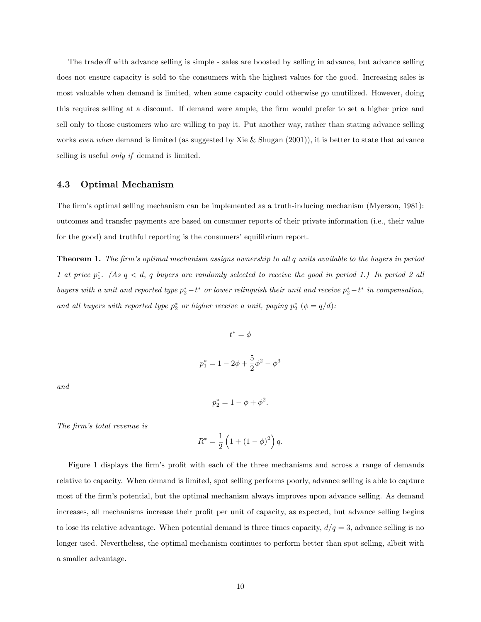The tradeoff with advance selling is simple - sales are boosted by selling in advance, but advance selling does not ensure capacity is sold to the consumers with the highest values for the good. Increasing sales is most valuable when demand is limited, when some capacity could otherwise go unutilized. However, doing this requires selling at a discount. If demand were ample, the firm would prefer to set a higher price and sell only to those customers who are willing to pay it. Put another way, rather than stating advance selling works even when demand is limited (as suggested by Xie & Shugan  $(2001)$ ), it is better to state that advance selling is useful *only if* demand is limited.

#### 4.3 Optimal Mechanism

The firm's optimal selling mechanism can be implemented as a truth-inducing mechanism (Myerson, 1981): outcomes and transfer payments are based on consumer reports of their private information (i.e., their value for the good) and truthful reporting is the consumers' equilibrium report.

Theorem 1. The firm's optimal mechanism assigns ownership to all q units available to the buyers in period 1 at price  $p_1^*$ . (As  $q < d$ , q buyers are randomly selected to receive the good in period 1.) In period 2 all buyers with a unit and reported type  $p_2^* - t^*$  or lower relinquish their unit and receive  $p_2^* - t^*$  in compensation, and all buyers with reported type  $p_2^*$  or higher receive a unit, paying  $p_2^*$  ( $\phi = q/d$ ):

$$
t^* = \phi
$$
  

$$
p_1^* = 1 - 2\phi + \frac{5}{2}\phi^2 - \phi^3
$$

and

$$
p_2^* = 1 - \phi + \phi^2.
$$

The firm's total revenue is

$$
R^* = \frac{1}{2} \left( 1 + \left( 1 - \phi \right)^2 \right) q.
$$

Figure 1 displays the firm's profit with each of the three mechanisms and across a range of demands relative to capacity. When demand is limited, spot selling performs poorly, advance selling is able to capture most of the firm's potential, but the optimal mechanism always improves upon advance selling. As demand increases, all mechanisms increase their profit per unit of capacity, as expected, but advance selling begins to lose its relative advantage. When potential demand is three times capacity,  $d/q = 3$ , advance selling is no longer used. Nevertheless, the optimal mechanism continues to perform better than spot selling, albeit with a smaller advantage.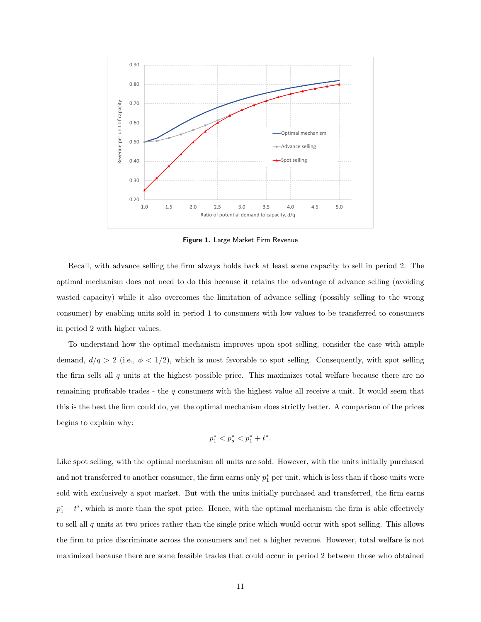

Figure 1. Large Market Firm Revenue

Recall, with advance selling the firm always holds back at least some capacity to sell in period 2. The optimal mechanism does not need to do this because it retains the advantage of advance selling (avoiding wasted capacity) while it also overcomes the limitation of advance selling (possibly selling to the wrong consumer) by enabling units sold in period 1 to consumers with low values to be transferred to consumers in period 2 with higher values.

To understand how the optimal mechanism improves upon spot selling, consider the case with ample demand,  $d/q > 2$  (i.e.,  $\phi < 1/2$ ), which is most favorable to spot selling. Consequently, with spot selling the firm sells all  $q$  units at the highest possible price. This maximizes total welfare because there are no remaining profitable trades - the  $q$  consumers with the highest value all receive a unit. It would seem that this is the best the firm could do, yet the optimal mechanism does strictly better. A comparison of the prices begins to explain why:

$$
p_1^* < p_s^* < p_1^* + t^*.
$$

Like spot selling, with the optimal mechanism all units are sold. However, with the units initially purchased and not transferred to another consumer, the firm earns only  $p_1^*$  per unit, which is less than if those units were sold with exclusively a spot market. But with the units initially purchased and transferred, the firm earns  $p_1^* + t^*$ , which is more than the spot price. Hence, with the optimal mechanism the firm is able effectively to sell all q units at two prices rather than the single price which would occur with spot selling. This allows the firm to price discriminate across the consumers and net a higher revenue. However, total welfare is not maximized because there are some feasible trades that could occur in period 2 between those who obtained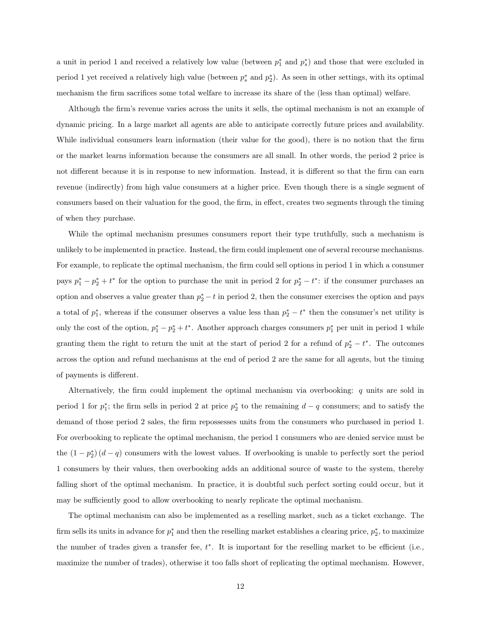a unit in period 1 and received a relatively low value (between  $p_1^*$  and  $p_s^*$ ) and those that were excluded in period 1 yet received a relatively high value (between  $p_s^*$  and  $p_2^*$ ). As seen in other settings, with its optimal mechanism the firm sacrifices some total welfare to increase its share of the (less than optimal) welfare.

Although the firm's revenue varies across the units it sells, the optimal mechanism is not an example of dynamic pricing. In a large market all agents are able to anticipate correctly future prices and availability. While individual consumers learn information (their value for the good), there is no notion that the firm or the market learns information because the consumers are all small. In other words, the period 2 price is not different because it is in response to new information. Instead, it is different so that the firm can earn revenue (indirectly) from high value consumers at a higher price. Even though there is a single segment of consumers based on their valuation for the good, the firm, in effect, creates two segments through the timing of when they purchase.

While the optimal mechanism presumes consumers report their type truthfully, such a mechanism is unlikely to be implemented in practice. Instead, the firm could implement one of several recourse mechanisms. For example, to replicate the optimal mechanism, the firm could sell options in period 1 in which a consumer pays  $p_1^* - p_2^* + t^*$  for the option to purchase the unit in period 2 for  $p_2^* - t^*$ : if the consumer purchases an option and observes a value greater than  $p_2^* - t$  in period 2, then the consumer exercises the option and pays a total of  $p_1^*$ , whereas if the consumer observes a value less than  $p_2^* - t^*$  then the consumer's net utility is only the cost of the option,  $p_1^* - p_2^* + t^*$ . Another approach charges consumers  $p_1^*$  per unit in period 1 while granting them the right to return the unit at the start of period 2 for a refund of  $p_2^* - t^*$ . The outcomes across the option and refund mechanisms at the end of period 2 are the same for all agents, but the timing of payments is different.

Alternatively, the firm could implement the optimal mechanism via overbooking: q units are sold in period 1 for  $p_1^*$ ; the firm sells in period 2 at price  $p_2^*$  to the remaining  $d - q$  consumers; and to satisfy the demand of those period 2 sales, the firm repossesses units from the consumers who purchased in period 1. For overbooking to replicate the optimal mechanism, the period 1 consumers who are denied service must be the  $(1 - p_2^*)(d - q)$  consumers with the lowest values. If overbooking is unable to perfectly sort the period 1 consumers by their values, then overbooking adds an additional source of waste to the system, thereby falling short of the optimal mechanism. In practice, it is doubtful such perfect sorting could occur, but it may be sufficiently good to allow overbooking to nearly replicate the optimal mechanism.

The optimal mechanism can also be implemented as a reselling market, such as a ticket exchange. The firm sells its units in advance for  $p_1^*$  and then the reselling market establishes a clearing price,  $p_2^*$ , to maximize the number of trades given a transfer fee,  $t^*$ . It is important for the reselling market to be efficient (i.e., maximize the number of trades), otherwise it too falls short of replicating the optimal mechanism. However,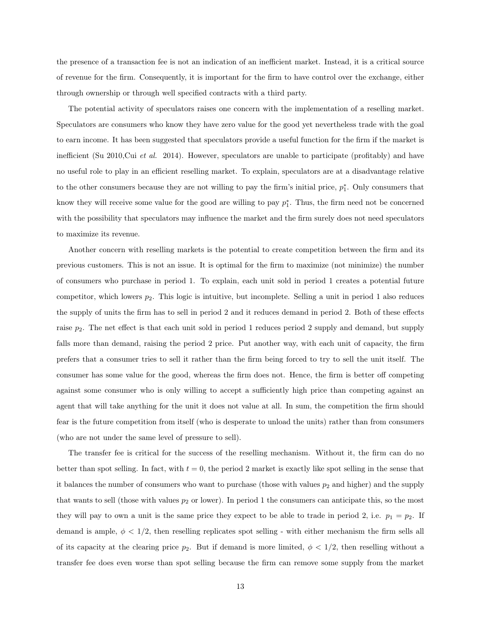the presence of a transaction fee is not an indication of an inefficient market. Instead, it is a critical source of revenue for the firm. Consequently, it is important for the firm to have control over the exchange, either through ownership or through well specified contracts with a third party.

The potential activity of speculators raises one concern with the implementation of a reselling market. Speculators are consumers who know they have zero value for the good yet nevertheless trade with the goal to earn income. It has been suggested that speculators provide a useful function for the firm if the market is inefficient (Su 2010,Cui et al. 2014). However, speculators are unable to participate (profitably) and have no useful role to play in an efficient reselling market. To explain, speculators are at a disadvantage relative to the other consumers because they are not willing to pay the firm's initial price,  $p_1^*$ . Only consumers that know they will receive some value for the good are willing to pay  $p_1^*$ . Thus, the firm need not be concerned with the possibility that speculators may influence the market and the firm surely does not need speculators to maximize its revenue.

Another concern with reselling markets is the potential to create competition between the firm and its previous customers. This is not an issue. It is optimal for the firm to maximize (not minimize) the number of consumers who purchase in period 1. To explain, each unit sold in period 1 creates a potential future competitor, which lowers  $p_2$ . This logic is intuitive, but incomplete. Selling a unit in period 1 also reduces the supply of units the firm has to sell in period 2 and it reduces demand in period 2. Both of these effects raise  $p_2$ . The net effect is that each unit sold in period 1 reduces period 2 supply and demand, but supply falls more than demand, raising the period 2 price. Put another way, with each unit of capacity, the firm prefers that a consumer tries to sell it rather than the firm being forced to try to sell the unit itself. The consumer has some value for the good, whereas the firm does not. Hence, the firm is better off competing against some consumer who is only willing to accept a sufficiently high price than competing against an agent that will take anything for the unit it does not value at all. In sum, the competition the firm should fear is the future competition from itself (who is desperate to unload the units) rather than from consumers (who are not under the same level of pressure to sell).

The transfer fee is critical for the success of the reselling mechanism. Without it, the firm can do no better than spot selling. In fact, with  $t = 0$ , the period 2 market is exactly like spot selling in the sense that it balances the number of consumers who want to purchase (those with values  $p_2$  and higher) and the supply that wants to sell (those with values  $p_2$  or lower). In period 1 the consumers can anticipate this, so the most they will pay to own a unit is the same price they expect to be able to trade in period 2, i.e.  $p_1 = p_2$ . If demand is ample,  $\phi < 1/2$ , then reselling replicates spot selling - with either mechanism the firm sells all of its capacity at the clearing price  $p_2$ . But if demand is more limited,  $\phi < 1/2$ , then reselling without a transfer fee does even worse than spot selling because the firm can remove some supply from the market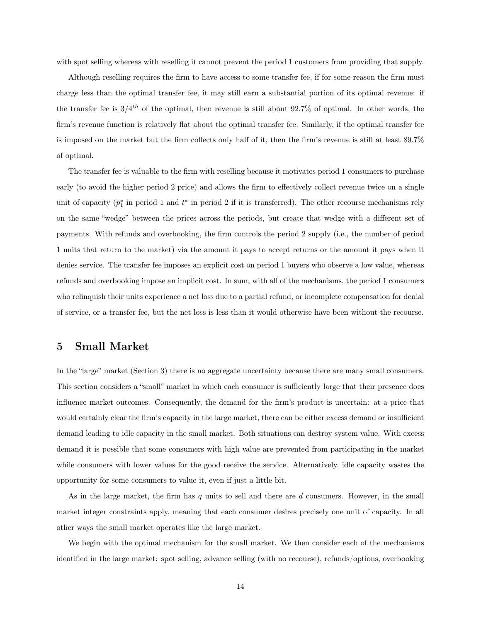with spot selling whereas with reselling it cannot prevent the period 1 customers from providing that supply.

Although reselling requires the firm to have access to some transfer fee, if for some reason the firm must charge less than the optimal transfer fee, it may still earn a substantial portion of its optimal revenue: if the transfer fee is  $3/4^{th}$  of the optimal, then revenue is still about 92.7% of optimal. In other words, the firm's revenue function is relatively flat about the optimal transfer fee. Similarly, if the optimal transfer fee is imposed on the market but the firm collects only half of it, then the firm's revenue is still at least 89.7% of optimal.

The transfer fee is valuable to the firm with reselling because it motivates period 1 consumers to purchase early (to avoid the higher period 2 price) and allows the firm to effectively collect revenue twice on a single unit of capacity  $(p_1^*$  in period 1 and  $t^*$  in period 2 if it is transferred). The other recourse mechanisms rely on the same "wedge" between the prices across the periods, but create that wedge with a different set of payments. With refunds and overbooking, the firm controls the period 2 supply (i.e., the number of period 1 units that return to the market) via the amount it pays to accept returns or the amount it pays when it denies service. The transfer fee imposes an explicit cost on period 1 buyers who observe a low value, whereas refunds and overbooking impose an implicit cost. In sum, with all of the mechanisms, the period 1 consumers who relinquish their units experience a net loss due to a partial refund, or incomplete compensation for denial of service, or a transfer fee, but the net loss is less than it would otherwise have been without the recourse.

### 5 Small Market

In the "large" market (Section 3) there is no aggregate uncertainty because there are many small consumers. This section considers a "small" market in which each consumer is sufficiently large that their presence does influence market outcomes. Consequently, the demand for the firm's product is uncertain: at a price that would certainly clear the firm's capacity in the large market, there can be either excess demand or insufficient demand leading to idle capacity in the small market. Both situations can destroy system value. With excess demand it is possible that some consumers with high value are prevented from participating in the market while consumers with lower values for the good receive the service. Alternatively, idle capacity wastes the opportunity for some consumers to value it, even if just a little bit.

As in the large market, the firm has  $q$  units to sell and there are  $d$  consumers. However, in the small market integer constraints apply, meaning that each consumer desires precisely one unit of capacity. In all other ways the small market operates like the large market.

We begin with the optimal mechanism for the small market. We then consider each of the mechanisms identified in the large market: spot selling, advance selling (with no recourse), refunds/options, overbooking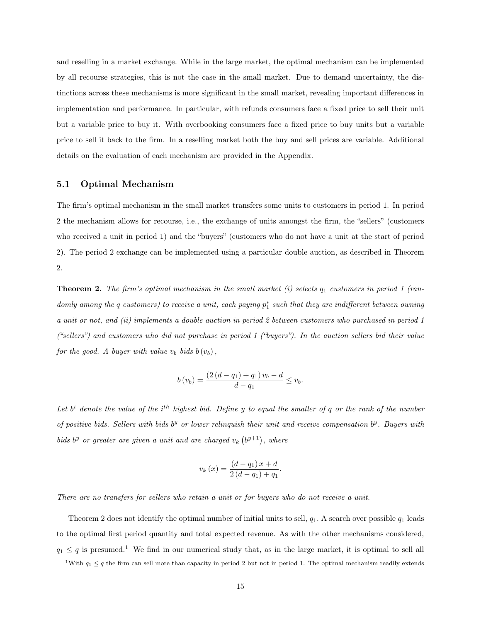and reselling in a market exchange. While in the large market, the optimal mechanism can be implemented by all recourse strategies, this is not the case in the small market. Due to demand uncertainty, the distinctions across these mechanisms is more significant in the small market, revealing important differences in implementation and performance. In particular, with refunds consumers face a fixed price to sell their unit but a variable price to buy it. With overbooking consumers face a fixed price to buy units but a variable price to sell it back to the firm. In a reselling market both the buy and sell prices are variable. Additional details on the evaluation of each mechanism are provided in the Appendix.

#### 5.1 Optimal Mechanism

The firm's optimal mechanism in the small market transfers some units to customers in period 1. In period 2 the mechanism allows for recourse, i.e., the exchange of units amongst the firm, the "sellers" (customers who received a unit in period 1) and the "buyers" (customers who do not have a unit at the start of period 2). The period 2 exchange can be implemented using a particular double auction, as described in Theorem 2.

**Theorem 2.** The firm's optimal mechanism in the small market (i) selects  $q_1$  customers in period 1 (randomly among the  $q$  customers) to receive a unit, each paying  $p_1^*$  such that they are indifferent between owning a unit or not, and (ii) implements a double auction in period 2 between customers who purchased in period 1 ("sellers") and customers who did not purchase in period 1 ("buyers"). In the auction sellers bid their value for the good. A buyer with value  $v_b$  bids  $b(v_b)$ ,

$$
b(v_b) = \frac{(2(d - q_1) + q_1)v_b - d}{d - q_1} \le v_b.
$$

Let  $b^i$  denote the value of the i<sup>th</sup> highest bid. Define y to equal the smaller of q or the rank of the number of positive bids. Sellers with bids  $b^y$  or lower relinquish their unit and receive compensation  $b^y$ . Buyers with bids b<sup>y</sup> or greater are given a unit and are charged  $v_k$   $(b^{y+1})$ , where

$$
v_k(x) = \frac{(d - q_1)x + d}{2(d - q_1) + q_1}.
$$

There are no transfers for sellers who retain a unit or for buyers who do not receive a unit.

Theorem 2 does not identify the optimal number of initial units to sell,  $q_1$ . A search over possible  $q_1$  leads to the optimal first period quantity and total expected revenue. As with the other mechanisms considered,  $q_1 \leq q$  is presumed.<sup>1</sup> We find in our numerical study that, as in the large market, it is optimal to sell all

<sup>&</sup>lt;sup>1</sup>With  $q_1 \leq q$  the firm can sell more than capacity in period 2 but not in period 1. The optimal mechanism readily extends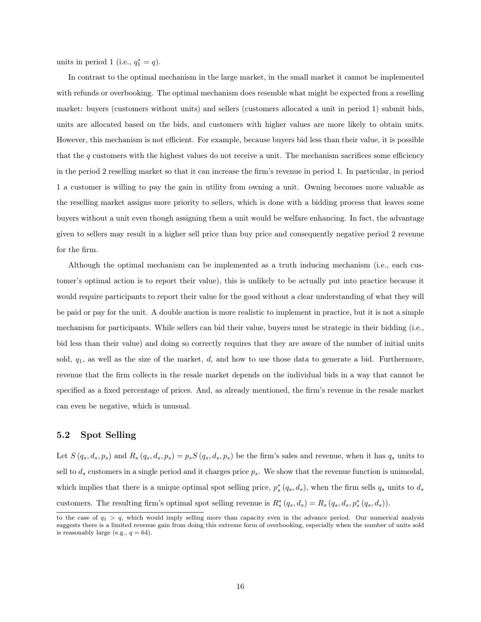units in period 1 (i.e.,  $q_1^* = q$ ).

In contrast to the optimal mechanism in the large market, in the small market it cannot be implemented with refunds or overbooking. The optimal mechanism does resemble what might be expected from a reselling market: buyers (customers without units) and sellers (customers allocated a unit in period 1) submit bids, units are allocated based on the bids, and customers with higher values are more likely to obtain units. However, this mechanism is not efficient. For example, because buyers bid less than their value, it is possible that the  $q$  customers with the highest values do not receive a unit. The mechanism sacrifices some efficiency in the period 2 reselling market so that it can increase the firm's revenue in period 1. In particular, in period 1 a customer is willing to pay the gain in utility from owning a unit. Owning becomes more valuable as the reselling market assigns more priority to sellers, which is done with a bidding process that leaves some buyers without a unit even though assigning them a unit would be welfare enhancing. In fact, the advantage given to sellers may result in a higher sell price than buy price and consequently negative period 2 revenue for the firm.

Although the optimal mechanism can be implemented as a truth inducing mechanism (i.e., each customer's optimal action is to report their value), this is unlikely to be actually put into practice because it would require participants to report their value for the good without a clear understanding of what they will be paid or pay for the unit. A double auction is more realistic to implement in practice, but it is not a simple mechanism for participants. While sellers can bid their value, buyers must be strategic in their bidding (i.e., bid less than their value) and doing so correctly requires that they are aware of the number of initial units sold,  $q_1$ , as well as the size of the market,  $d$ , and how to use those data to generate a bid. Furthermore, revenue that the firm collects in the resale market depends on the individual bids in a way that cannot be specified as a fixed percentage of prices. And, as already mentioned, the firm's revenue in the resale market can even be negative, which is unusual.

#### 5.2 Spot Selling

Let  $S(q_s, d_s, p_s)$  and  $R_s(q_s, d_s, p_s) = p_s S(q_s, d_s, p_s)$  be the firm's sales and revenue, when it has  $q_s$  units to sell to  $d_s$  customers in a single period and it charges price  $p_s$ . We show that the revenue function is unimodal, which implies that there is a unique optimal spot selling price,  $p_s^*(q_s, d_s)$ , when the firm sells  $q_s$  units to  $d_s$ customers. The resulting firm's optimal spot selling revenue is  $R_s^*(q_s, d_s) = R_s(q_s, d_s, p_s^*(q_s, d_s))$ .

to the case of  $q_1 > q$ , which would imply selling more than capacity even in the advance period. Our numerical analysis suggests there is a limited revenue gain from doing this extreme form of overbooking, especially when the number of units sold is reasonably large (e.g.,  $q = 64$ ).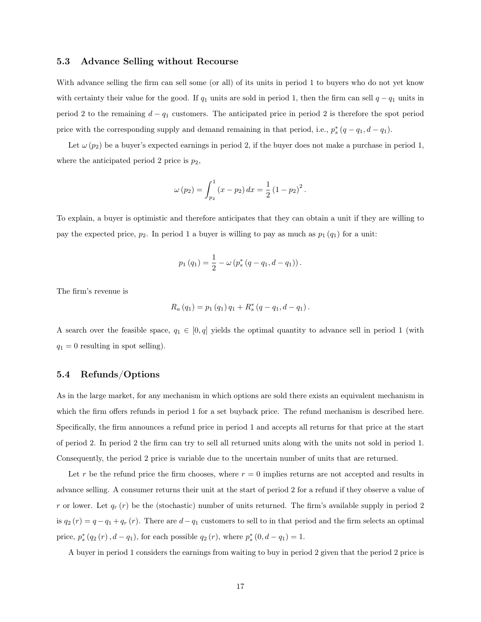#### 5.3 Advance Selling without Recourse

With advance selling the firm can sell some (or all) of its units in period 1 to buyers who do not yet know with certainty their value for the good. If  $q_1$  units are sold in period 1, then the firm can sell  $q - q_1$  units in period 2 to the remaining  $d - q_1$  customers. The anticipated price in period 2 is therefore the spot period price with the corresponding supply and demand remaining in that period, i.e.,  $p_s^*(q - q_1, d - q_1)$ .

Let  $\omega(p_2)$  be a buyer's expected earnings in period 2, if the buyer does not make a purchase in period 1, where the anticipated period 2 price is  $p_2$ ,

$$
\omega(p_2) = \int_{p_2}^1 (x - p_2) \, dx = \frac{1}{2} (1 - p_2)^2 \, .
$$

To explain, a buyer is optimistic and therefore anticipates that they can obtain a unit if they are willing to pay the expected price,  $p_2$ . In period 1 a buyer is willing to pay as much as  $p_1 (q_1)$  for a unit:

$$
p_1(q_1) = \frac{1}{2} - \omega (p_s^* (q - q_1, d - q_1)).
$$

The firm's revenue is

$$
R_{a}(q_{1}) = p_{1}(q_{1}) q_{1} + R_{s}^{*}(q - q_{1}, d - q_{1}).
$$

A search over the feasible space,  $q_1 \in [0, q]$  yields the optimal quantity to advance sell in period 1 (with  $q_1 = 0$  resulting in spot selling).

#### 5.4 Refunds/Options

As in the large market, for any mechanism in which options are sold there exists an equivalent mechanism in which the firm offers refunds in period 1 for a set buyback price. The refund mechanism is described here. Specifically, the firm announces a refund price in period 1 and accepts all returns for that price at the start of period 2. In period 2 the firm can try to sell all returned units along with the units not sold in period 1. Consequently, the period 2 price is variable due to the uncertain number of units that are returned.

Let r be the refund price the firm chooses, where  $r = 0$  implies returns are not accepted and results in advance selling. A consumer returns their unit at the start of period 2 for a refund if they observe a value of r or lower. Let  $q_r(r)$  be the (stochastic) number of units returned. The firm's available supply in period 2 is  $q_2 (r) = q - q_1 + q_r (r)$ . There are  $d - q_1$  customers to sell to in that period and the firm selects an optimal price,  $p_s^*(q_2(r), d - q_1)$ , for each possible  $q_2(r)$ , where  $p_s^*(0, d - q_1) = 1$ .

A buyer in period 1 considers the earnings from waiting to buy in period 2 given that the period 2 price is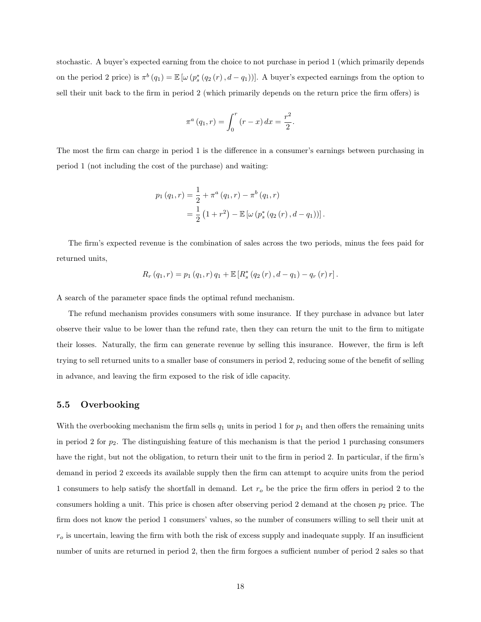stochastic. A buyer's expected earning from the choice to not purchase in period 1 (which primarily depends on the period 2 price) is  $\pi^{b}(q_1) = \mathbb{E}[\omega(p_s^*(q_2(r), d - q_1))]$ . A buyer's expected earnings from the option to sell their unit back to the firm in period 2 (which primarily depends on the return price the firm offers) is

$$
\pi^{a}(q_{1}, r) = \int_{0}^{r} (r - x) dx = \frac{r^{2}}{2}.
$$

The most the firm can charge in period 1 is the difference in a consumer's earnings between purchasing in period 1 (not including the cost of the purchase) and waiting:

$$
p_1(q_1, r) = \frac{1}{2} + \pi^a (q_1, r) - \pi^b (q_1, r)
$$
  
= 
$$
\frac{1}{2} (1 + r^2) - \mathbb{E} [\omega (p_s^* (q_2(r), d - q_1))].
$$

The firm's expected revenue is the combination of sales across the two periods, minus the fees paid for returned units,

$$
R_r (q_1, r) = p_1 (q_1, r) q_1 + \mathbb{E} \left[ R_s^* (q_2 (r), d - q_1) - q_r (r) r \right].
$$

A search of the parameter space finds the optimal refund mechanism.

The refund mechanism provides consumers with some insurance. If they purchase in advance but later observe their value to be lower than the refund rate, then they can return the unit to the firm to mitigate their losses. Naturally, the firm can generate revenue by selling this insurance. However, the firm is left trying to sell returned units to a smaller base of consumers in period 2, reducing some of the benefit of selling in advance, and leaving the firm exposed to the risk of idle capacity.

#### 5.5 Overbooking

With the overbooking mechanism the firm sells  $q_1$  units in period 1 for  $p_1$  and then offers the remaining units in period 2 for  $p_2$ . The distinguishing feature of this mechanism is that the period 1 purchasing consumers have the right, but not the obligation, to return their unit to the firm in period 2. In particular, if the firm's demand in period 2 exceeds its available supply then the firm can attempt to acquire units from the period 1 consumers to help satisfy the shortfall in demand. Let  $r<sub>o</sub>$  be the price the firm offers in period 2 to the consumers holding a unit. This price is chosen after observing period 2 demand at the chosen  $p_2$  price. The firm does not know the period 1 consumers' values, so the number of consumers willing to sell their unit at  $r<sub>o</sub>$  is uncertain, leaving the firm with both the risk of excess supply and inadequate supply. If an insufficient number of units are returned in period 2, then the firm forgoes a sufficient number of period 2 sales so that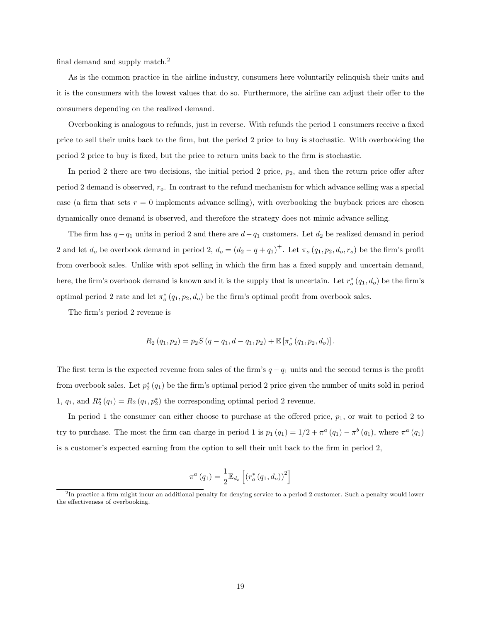final demand and supply match.<sup>2</sup>

As is the common practice in the airline industry, consumers here voluntarily relinquish their units and it is the consumers with the lowest values that do so. Furthermore, the airline can adjust their offer to the consumers depending on the realized demand.

Overbooking is analogous to refunds, just in reverse. With refunds the period 1 consumers receive a fixed price to sell their units back to the firm, but the period 2 price to buy is stochastic. With overbooking the period 2 price to buy is fixed, but the price to return units back to the firm is stochastic.

In period 2 there are two decisions, the initial period 2 price,  $p_2$ , and then the return price offer after period 2 demand is observed,  $r_o$ . In contrast to the refund mechanism for which advance selling was a special case (a firm that sets  $r = 0$  implements advance selling), with overbooking the buyback prices are chosen dynamically once demand is observed, and therefore the strategy does not mimic advance selling.

The firm has  $q - q_1$  units in period 2 and there are  $d - q_1$  customers. Let  $d_2$  be realized demand in period 2 and let  $d_o$  be overbook demand in period 2,  $d_o = (d_2 - q + q_1)^+$ . Let  $\pi_o(q_1, p_2, d_o, r_o)$  be the firm's profit from overbook sales. Unlike with spot selling in which the firm has a fixed supply and uncertain demand, here, the firm's overbook demand is known and it is the supply that is uncertain. Let  $r_o^*(q_1, d_o)$  be the firm's optimal period 2 rate and let  $\pi_o^*(q_1, p_2, d_o)$  be the firm's optimal profit from overbook sales.

The firm's period 2 revenue is

$$
R_2(q_1, p_2) = p_2 S(q - q_1, d - q_1, p_2) + \mathbb{E} \left[ \pi_o^*(q_1, p_2, d_o) \right].
$$

The first term is the expected revenue from sales of the firm's  $q - q_1$  units and the second terms is the profit from overbook sales. Let  $p_2^*(q_1)$  be the firm's optimal period 2 price given the number of units sold in period 1,  $q_1$ , and  $R_2^*(q_1) = R_2(q_1, p_2^*)$  the corresponding optimal period 2 revenue.

In period 1 the consumer can either choose to purchase at the offered price,  $p_1$ , or wait to period 2 to try to purchase. The most the firm can charge in period 1 is  $p_1(q_1) = 1/2 + \pi^a(q_1) - \pi^b(q_1)$ , where  $\pi^a(q_1)$ is a customer's expected earning from the option to sell their unit back to the firm in period 2,

$$
\pi^a(q_1) = \frac{1}{2} \mathbb{E}_{d_o} \left[ \left( r_o^*(q_1, d_o) \right)^2 \right]
$$

<sup>&</sup>lt;sup>2</sup>In practice a firm might incur an additional penalty for denying service to a period 2 customer. Such a penalty would lower the effectiveness of overbooking.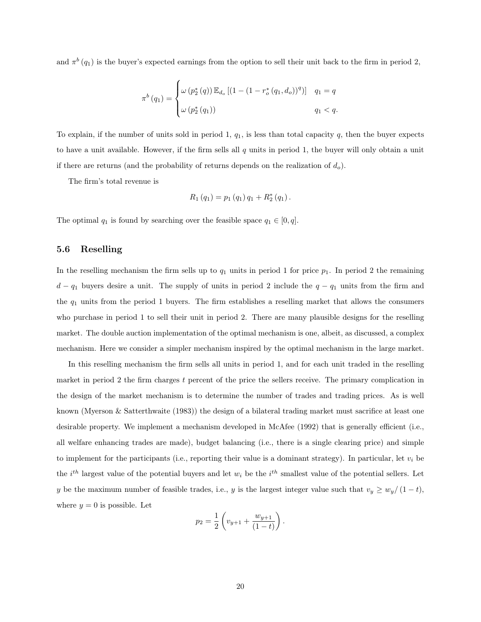and  $\pi^b(q_1)$  is the buyer's expected earnings from the option to sell their unit back to the firm in period 2,

$$
\pi^{b}(q_{1}) = \begin{cases} \omega(p_{2}^{*}(q)) \mathbb{E}_{d_{o}} [(1 - (1 - r_{o}^{*}(q_{1}, d_{o}))^{q})] & q_{1} = q \\ \omega(p_{2}^{*}(q_{1})) & q_{1} < q. \end{cases}
$$

To explain, if the number of units sold in period 1,  $q_1$ , is less than total capacity q, then the buyer expects to have a unit available. However, if the firm sells all  $q$  units in period 1, the buyer will only obtain a unit if there are returns (and the probability of returns depends on the realization of  $d_o$ ).

The firm's total revenue is

$$
R_{1}\left(q_{1}\right)=p_{1}\left(q_{1}\right)q_{1}+R_{2}^{*}\left(q_{1}\right).
$$

The optimal  $q_1$  is found by searching over the feasible space  $q_1 \in [0, q]$ .

#### 5.6 Reselling

In the reselling mechanism the firm sells up to  $q_1$  units in period 1 for price  $p_1$ . In period 2 the remaining  $d - q_1$  buyers desire a unit. The supply of units in period 2 include the  $q - q_1$  units from the firm and the  $q_1$  units from the period 1 buyers. The firm establishes a reselling market that allows the consumers who purchase in period 1 to sell their unit in period 2. There are many plausible designs for the reselling market. The double auction implementation of the optimal mechanism is one, albeit, as discussed, a complex mechanism. Here we consider a simpler mechanism inspired by the optimal mechanism in the large market.

In this reselling mechanism the firm sells all units in period 1, and for each unit traded in the reselling market in period 2 the firm charges  $t$  percent of the price the sellers receive. The primary complication in the design of the market mechanism is to determine the number of trades and trading prices. As is well known (Myerson & Satterthwaite (1983)) the design of a bilateral trading market must sacrifice at least one desirable property. We implement a mechanism developed in McAfee (1992) that is generally efficient (i.e., all welfare enhancing trades are made), budget balancing (i.e., there is a single clearing price) and simple to implement for the participants (i.e., reporting their value is a dominant strategy). In particular, let  $v_i$  be the  $i^{th}$  largest value of the potential buyers and let  $w_i$  be the  $i^{th}$  smallest value of the potential sellers. Let y be the maximum number of feasible trades, i.e., y is the largest integer value such that  $v_y \geq w_y/(1-t)$ , where  $y = 0$  is possible. Let

$$
p_2 = \frac{1}{2} \left( v_{y+1} + \frac{w_{y+1}}{(1-t)} \right).
$$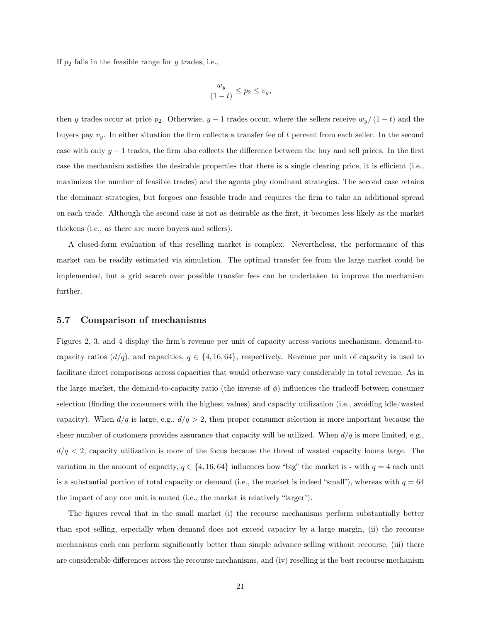If  $p_2$  falls in the feasible range for y trades, i.e.,

$$
\frac{w_y}{(1-t)} \le p_2 \le v_y,
$$

then y trades occur at price  $p_2$ . Otherwise,  $y-1$  trades occur, where the sellers receive  $w_y/(1-t)$  and the buyers pay  $v_y$ . In either situation the firm collects a transfer fee of t percent from each seller. In the second case with only  $y - 1$  trades, the firm also collects the difference between the buy and sell prices. In the first case the mechanism satisfies the desirable properties that there is a single clearing price, it is efficient (i.e., maximizes the number of feasible trades) and the agents play dominant strategies. The second case retains the dominant strategies, but forgoes one feasible trade and requires the firm to take an additional spread on each trade. Although the second case is not as desirable as the first, it becomes less likely as the market thickens (i.e., as there are more buyers and sellers).

A closed-form evaluation of this reselling market is complex. Nevertheless, the performance of this market can be readily estimated via simulation. The optimal transfer fee from the large market could be implemented, but a grid search over possible transfer fees can be undertaken to improve the mechanism further.

#### 5.7 Comparison of mechanisms

Figures 2, 3, and 4 display the firm's revenue per unit of capacity across various mechanisms, demand-tocapacity ratios  $(d/q)$ , and capacities,  $q \in \{4, 16, 64\}$ , respectively. Revenue per unit of capacity is used to facilitate direct comparisons across capacities that would otherwise vary considerably in total revenue. As in the large market, the demand-to-capacity ratio (the inverse of  $\phi$ ) influences the tradeoff between consumer selection (finding the consumers with the highest values) and capacity utilization (i.e., avoiding idle/wasted capacity). When  $d/q$  is large, e.g.,  $d/q > 2$ , then proper consumer selection is more important because the sheer number of customers provides assurance that capacity will be utilized. When  $d/q$  is more limited, e.g.,  $d/q < 2$ , capacity utilization is more of the focus because the threat of wasted capacity looms large. The variation in the amount of capacity,  $q \in \{4, 16, 64\}$  influences how "big" the market is - with  $q = 4$  each unit is a substantial portion of total capacity or demand (i.e., the market is indeed "small"), whereas with  $q = 64$ the impact of any one unit is muted (i.e., the market is relatively "larger").

The figures reveal that in the small market (i) the recourse mechanisms perform substantially better than spot selling, especially when demand does not exceed capacity by a large margin, (ii) the recourse mechanisms each can perform significantly better than simple advance selling without recourse, (iii) there are considerable differences across the recourse mechanisms, and (iv) reselling is the best recourse mechanism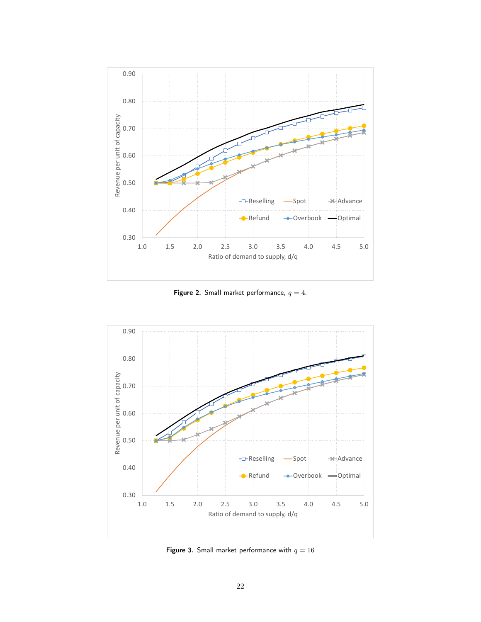

Figure 2. Small market performance,  $q = 4$ .



Figure 3. Small market performance with  $q = 16$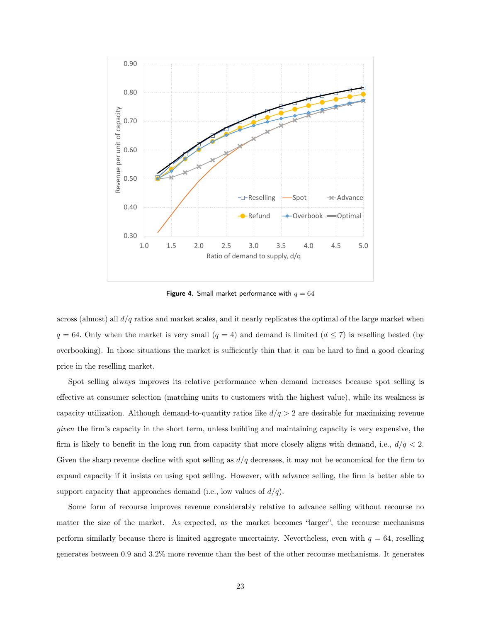

Figure 4. Small market performance with  $q = 64$ 

across (almost) all  $d/q$  ratios and market scales, and it nearly replicates the optimal of the large market when  $q = 64$ . Only when the market is very small  $(q = 4)$  and demand is limited  $(d \leq 7)$  is reselling bested (by overbooking). In those situations the market is sufficiently thin that it can be hard to find a good clearing price in the reselling market.

Spot selling always improves its relative performance when demand increases because spot selling is effective at consumer selection (matching units to customers with the highest value), while its weakness is capacity utilization. Although demand-to-quantity ratios like  $d/q > 2$  are desirable for maximizing revenue given the firm's capacity in the short term, unless building and maintaining capacity is very expensive, the firm is likely to benefit in the long run from capacity that more closely aligns with demand, i.e.,  $d/q < 2$ . Given the sharp revenue decline with spot selling as  $d/q$  decreases, it may not be economical for the firm to expand capacity if it insists on using spot selling. However, with advance selling, the firm is better able to support capacity that approaches demand (i.e., low values of  $d/q$ ).

Some form of recourse improves revenue considerably relative to advance selling without recourse no matter the size of the market. As expected, as the market becomes "larger", the recourse mechanisms perform similarly because there is limited aggregate uncertainty. Nevertheless, even with  $q = 64$ , reselling generates between 0.9 and 3.2% more revenue than the best of the other recourse mechanisms. It generates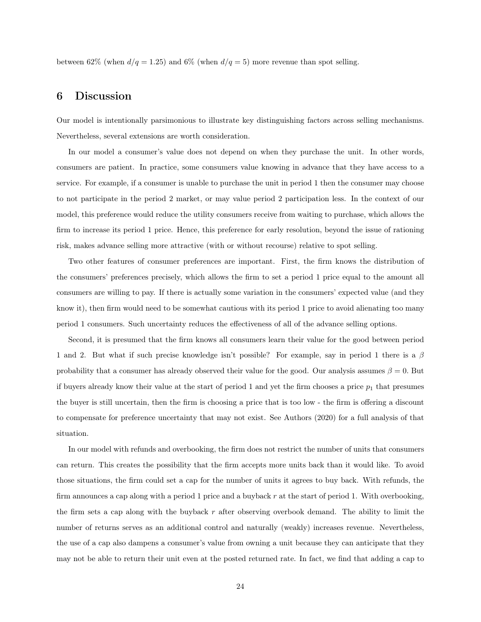between 62% (when  $d/q = 1.25$ ) and 6% (when  $d/q = 5$ ) more revenue than spot selling.

# 6 Discussion

Our model is intentionally parsimonious to illustrate key distinguishing factors across selling mechanisms. Nevertheless, several extensions are worth consideration.

In our model a consumer's value does not depend on when they purchase the unit. In other words, consumers are patient. In practice, some consumers value knowing in advance that they have access to a service. For example, if a consumer is unable to purchase the unit in period 1 then the consumer may choose to not participate in the period 2 market, or may value period 2 participation less. In the context of our model, this preference would reduce the utility consumers receive from waiting to purchase, which allows the firm to increase its period 1 price. Hence, this preference for early resolution, beyond the issue of rationing risk, makes advance selling more attractive (with or without recourse) relative to spot selling.

Two other features of consumer preferences are important. First, the firm knows the distribution of the consumers' preferences precisely, which allows the firm to set a period 1 price equal to the amount all consumers are willing to pay. If there is actually some variation in the consumers' expected value (and they know it), then firm would need to be somewhat cautious with its period 1 price to avoid alienating too many period 1 consumers. Such uncertainty reduces the effectiveness of all of the advance selling options.

Second, it is presumed that the firm knows all consumers learn their value for the good between period 1 and 2. But what if such precise knowledge isn't possible? For example, say in period 1 there is a  $\beta$ probability that a consumer has already observed their value for the good. Our analysis assumes  $\beta = 0$ . But if buyers already know their value at the start of period 1 and yet the firm chooses a price  $p_1$  that presumes the buyer is still uncertain, then the firm is choosing a price that is too low - the firm is offering a discount to compensate for preference uncertainty that may not exist. See Authors (2020) for a full analysis of that situation.

In our model with refunds and overbooking, the firm does not restrict the number of units that consumers can return. This creates the possibility that the firm accepts more units back than it would like. To avoid those situations, the firm could set a cap for the number of units it agrees to buy back. With refunds, the firm announces a cap along with a period 1 price and a buyback r at the start of period 1. With overbooking, the firm sets a cap along with the buyback  $r$  after observing overbook demand. The ability to limit the number of returns serves as an additional control and naturally (weakly) increases revenue. Nevertheless, the use of a cap also dampens a consumer's value from owning a unit because they can anticipate that they may not be able to return their unit even at the posted returned rate. In fact, we find that adding a cap to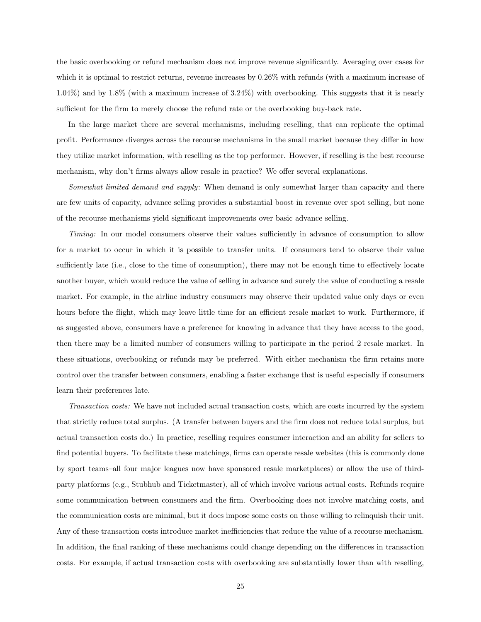the basic overbooking or refund mechanism does not improve revenue significantly. Averaging over cases for which it is optimal to restrict returns, revenue increases by 0.26% with refunds (with a maximum increase of 1.04%) and by 1.8% (with a maximum increase of 3.24%) with overbooking. This suggests that it is nearly sufficient for the firm to merely choose the refund rate or the overbooking buy-back rate.

In the large market there are several mechanisms, including reselling, that can replicate the optimal profit. Performance diverges across the recourse mechanisms in the small market because they differ in how they utilize market information, with reselling as the top performer. However, if reselling is the best recourse mechanism, why don't firms always allow resale in practice? We offer several explanations.

Somewhat limited demand and supply: When demand is only somewhat larger than capacity and there are few units of capacity, advance selling provides a substantial boost in revenue over spot selling, but none of the recourse mechanisms yield significant improvements over basic advance selling.

Timing: In our model consumers observe their values sufficiently in advance of consumption to allow for a market to occur in which it is possible to transfer units. If consumers tend to observe their value sufficiently late (i.e., close to the time of consumption), there may not be enough time to effectively locate another buyer, which would reduce the value of selling in advance and surely the value of conducting a resale market. For example, in the airline industry consumers may observe their updated value only days or even hours before the flight, which may leave little time for an efficient resale market to work. Furthermore, if as suggested above, consumers have a preference for knowing in advance that they have access to the good, then there may be a limited number of consumers willing to participate in the period 2 resale market. In these situations, overbooking or refunds may be preferred. With either mechanism the firm retains more control over the transfer between consumers, enabling a faster exchange that is useful especially if consumers learn their preferences late.

Transaction costs: We have not included actual transaction costs, which are costs incurred by the system that strictly reduce total surplus. (A transfer between buyers and the firm does not reduce total surplus, but actual transaction costs do.) In practice, reselling requires consumer interaction and an ability for sellers to find potential buyers. To facilitate these matchings, firms can operate resale websites (this is commonly done by sport teams–all four major leagues now have sponsored resale marketplaces) or allow the use of thirdparty platforms (e.g., Stubhub and Ticketmaster), all of which involve various actual costs. Refunds require some communication between consumers and the firm. Overbooking does not involve matching costs, and the communication costs are minimal, but it does impose some costs on those willing to relinquish their unit. Any of these transaction costs introduce market inefficiencies that reduce the value of a recourse mechanism. In addition, the final ranking of these mechanisms could change depending on the differences in transaction costs. For example, if actual transaction costs with overbooking are substantially lower than with reselling,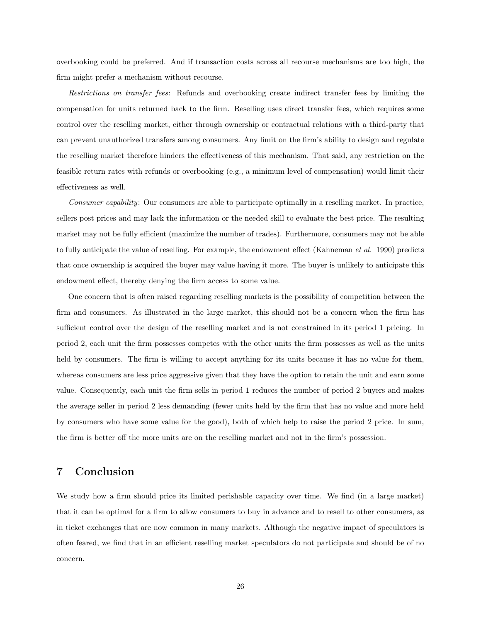overbooking could be preferred. And if transaction costs across all recourse mechanisms are too high, the firm might prefer a mechanism without recourse.

Restrictions on transfer fees: Refunds and overbooking create indirect transfer fees by limiting the compensation for units returned back to the firm. Reselling uses direct transfer fees, which requires some control over the reselling market, either through ownership or contractual relations with a third-party that can prevent unauthorized transfers among consumers. Any limit on the firm's ability to design and regulate the reselling market therefore hinders the effectiveness of this mechanism. That said, any restriction on the feasible return rates with refunds or overbooking (e.g., a minimum level of compensation) would limit their effectiveness as well.

Consumer capability: Our consumers are able to participate optimally in a reselling market. In practice, sellers post prices and may lack the information or the needed skill to evaluate the best price. The resulting market may not be fully efficient (maximize the number of trades). Furthermore, consumers may not be able to fully anticipate the value of reselling. For example, the endowment effect (Kahneman et al. 1990) predicts that once ownership is acquired the buyer may value having it more. The buyer is unlikely to anticipate this endowment effect, thereby denying the firm access to some value.

One concern that is often raised regarding reselling markets is the possibility of competition between the firm and consumers. As illustrated in the large market, this should not be a concern when the firm has sufficient control over the design of the reselling market and is not constrained in its period 1 pricing. In period 2, each unit the firm possesses competes with the other units the firm possesses as well as the units held by consumers. The firm is willing to accept anything for its units because it has no value for them, whereas consumers are less price aggressive given that they have the option to retain the unit and earn some value. Consequently, each unit the firm sells in period 1 reduces the number of period 2 buyers and makes the average seller in period 2 less demanding (fewer units held by the firm that has no value and more held by consumers who have some value for the good), both of which help to raise the period 2 price. In sum, the firm is better off the more units are on the reselling market and not in the firm's possession.

# 7 Conclusion

We study how a firm should price its limited perishable capacity over time. We find (in a large market) that it can be optimal for a firm to allow consumers to buy in advance and to resell to other consumers, as in ticket exchanges that are now common in many markets. Although the negative impact of speculators is often feared, we find that in an efficient reselling market speculators do not participate and should be of no concern.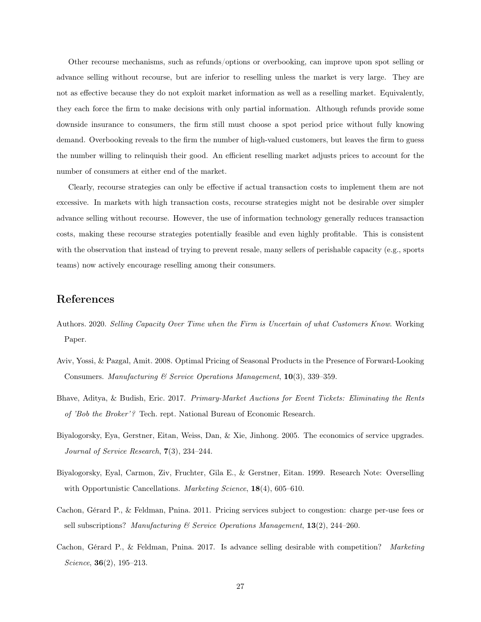Other recourse mechanisms, such as refunds/options or overbooking, can improve upon spot selling or advance selling without recourse, but are inferior to reselling unless the market is very large. They are not as effective because they do not exploit market information as well as a reselling market. Equivalently, they each force the firm to make decisions with only partial information. Although refunds provide some downside insurance to consumers, the firm still must choose a spot period price without fully knowing demand. Overbooking reveals to the firm the number of high-valued customers, but leaves the firm to guess the number willing to relinquish their good. An efficient reselling market adjusts prices to account for the number of consumers at either end of the market.

Clearly, recourse strategies can only be effective if actual transaction costs to implement them are not excessive. In markets with high transaction costs, recourse strategies might not be desirable over simpler advance selling without recourse. However, the use of information technology generally reduces transaction costs, making these recourse strategies potentially feasible and even highly profitable. This is consistent with the observation that instead of trying to prevent resale, many sellers of perishable capacity (e.g., sports teams) now actively encourage reselling among their consumers.

## References

- Authors. 2020. Selling Capacity Over Time when the Firm is Uncertain of what Customers Know. Working Paper.
- Aviv, Yossi, & Pazgal, Amit. 2008. Optimal Pricing of Seasonal Products in the Presence of Forward-Looking Consumers. Manufacturing & Service Operations Management, 10(3), 339–359.
- Bhave, Aditya, & Budish, Eric. 2017. Primary-Market Auctions for Event Tickets: Eliminating the Rents of 'Bob the Broker'? Tech. rept. National Bureau of Economic Research.
- Biyalogorsky, Eya, Gerstner, Eitan, Weiss, Dan, & Xie, Jinhong. 2005. The economics of service upgrades. Journal of Service Research, 7(3), 234–244.
- Biyalogorsky, Eyal, Carmon, Ziv, Fruchter, Gila E., & Gerstner, Eitan. 1999. Research Note: Overselling with Opportunistic Cancellations. Marketing Science, 18(4), 605–610.
- Cachon, Gérard P., & Feldman, Pnina. 2011. Pricing services subject to congestion: charge per-use fees or sell subscriptions? Manufacturing  $\mathcal C$  Service Operations Management, 13(2), 244–260.
- Cachon, Gérard P., & Feldman, Pnina. 2017. Is advance selling desirable with competition? Marketing Science,  $36(2)$ ,  $195-213$ .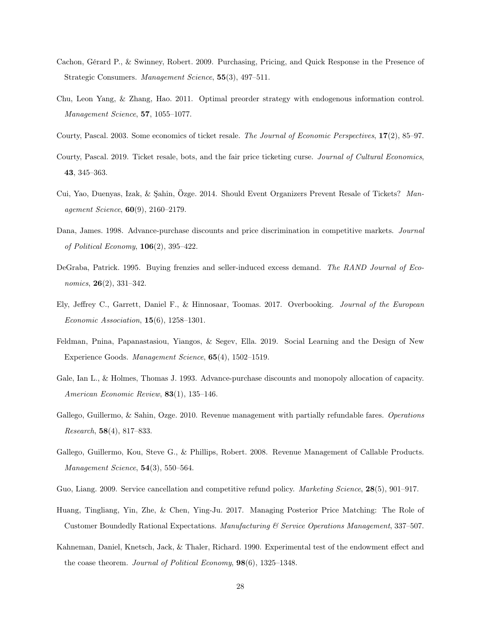- Cachon, Gérard P., & Swinney, Robert. 2009. Purchasing, Pricing, and Quick Response in the Presence of Strategic Consumers. Management Science, 55(3), 497–511.
- Chu, Leon Yang, & Zhang, Hao. 2011. Optimal preorder strategy with endogenous information control. Management Science, 57, 1055–1077.
- Courty, Pascal. 2003. Some economics of ticket resale. The Journal of Economic Perspectives, 17(2), 85–97.
- Courty, Pascal. 2019. Ticket resale, bots, and the fair price ticketing curse. Journal of Cultural Economics, 43, 345–363.
- Cui, Yao, Duenyas, Izak, & Şahin, Özge. 2014. Should Event Organizers Prevent Resale of Tickets? Management Science, 60(9), 2160–2179.
- Dana, James. 1998. Advance-purchase discounts and price discrimination in competitive markets. Journal of Political Economy,  $106(2)$ , 395-422.
- DeGraba, Patrick. 1995. Buying frenzies and seller-induced excess demand. The RAND Journal of Economics, 26(2), 331–342.
- Ely, Jeffrey C., Garrett, Daniel F., & Hinnosaar, Toomas. 2017. Overbooking. Journal of the European Economic Association,  $15(6)$ ,  $1258-1301$ .
- Feldman, Pnina, Papanastasiou, Yiangos, & Segev, Ella. 2019. Social Learning and the Design of New Experience Goods. Management Science, 65(4), 1502–1519.
- Gale, Ian L., & Holmes, Thomas J. 1993. Advance-purchase discounts and monopoly allocation of capacity. American Economic Review, 83(1), 135–146.
- Gallego, Guillermo, & Sahin, Ozge. 2010. Revenue management with partially refundable fares. Operations Research, 58(4), 817–833.
- Gallego, Guillermo, Kou, Steve G., & Phillips, Robert. 2008. Revenue Management of Callable Products. Management Science, **54**(3), 550–564.
- Guo, Liang. 2009. Service cancellation and competitive refund policy. *Marketing Science*, **28**(5), 901–917.
- Huang, Tingliang, Yin, Zhe, & Chen, Ying-Ju. 2017. Managing Posterior Price Matching: The Role of Customer Boundedly Rational Expectations. Manufacturing & Service Operations Management, 337–507.
- Kahneman, Daniel, Knetsch, Jack, & Thaler, Richard. 1990. Experimental test of the endowment effect and the coase theorem. Journal of Political Economy, **98**(6), 1325–1348.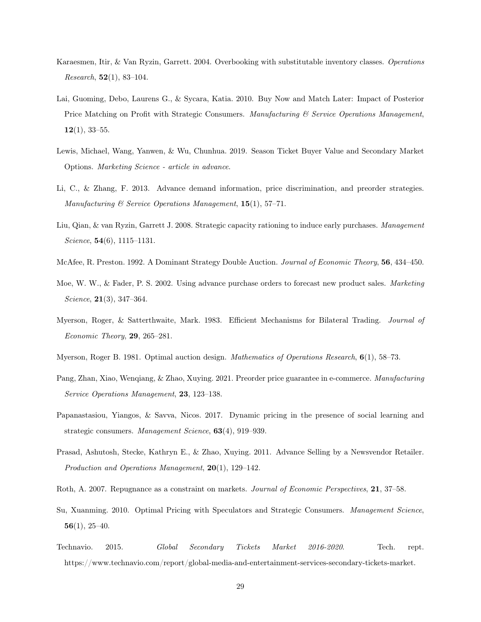- Karaesmen, Itir, & Van Ryzin, Garrett. 2004. Overbooking with substitutable inventory classes. Operations Research,  $52(1)$ , 83-104.
- Lai, Guoming, Debo, Laurens G., & Sycara, Katia. 2010. Buy Now and Match Later: Impact of Posterior Price Matching on Profit with Strategic Consumers. Manufacturing  $\mathscr B$  Service Operations Management,  $12(1), 33-55.$
- Lewis, Michael, Wang, Yanwen, & Wu, Chunhua. 2019. Season Ticket Buyer Value and Secondary Market Options. Marketing Science - article in advance.
- Li, C., & Zhang, F. 2013. Advance demand information, price discrimination, and preorder strategies. Manufacturing & Service Operations Management, 15(1), 57–71.
- Liu, Qian, & van Ryzin, Garrett J. 2008. Strategic capacity rationing to induce early purchases. Management Science, 54(6), 1115–1131.
- McAfee, R. Preston. 1992. A Dominant Strategy Double Auction. Journal of Economic Theory, 56, 434–450.
- Moe, W. W., & Fader, P. S. 2002. Using advance purchase orders to forecast new product sales. Marketing Science, **21**(3), 347-364.
- Myerson, Roger, & Satterthwaite, Mark. 1983. Efficient Mechanisms for Bilateral Trading. Journal of Economic Theory, 29, 265–281.
- Myerson, Roger B. 1981. Optimal auction design. *Mathematics of Operations Research*, **6**(1), 58–73.
- Pang, Zhan, Xiao, Wenqiang, & Zhao, Xuying. 2021. Preorder price guarantee in e-commerce. Manufacturing Service Operations Management, 23, 123–138.
- Papanastasiou, Yiangos, & Savva, Nicos. 2017. Dynamic pricing in the presence of social learning and strategic consumers. Management Science, 63(4), 919–939.
- Prasad, Ashutosh, Stecke, Kathryn E., & Zhao, Xuying. 2011. Advance Selling by a Newsvendor Retailer. Production and Operations Management, 20(1), 129–142.
- Roth, A. 2007. Repugnance as a constraint on markets. Journal of Economic Perspectives, 21, 37–58.
- Su, Xuanming. 2010. Optimal Pricing with Speculators and Strategic Consumers. Management Science,  $56(1), 25-40.$
- Technavio. 2015. Global Secondary Tickets Market 2016-2020. Tech. rept. https://www.technavio.com/report/global-media-and-entertainment-services-secondary-tickets-market.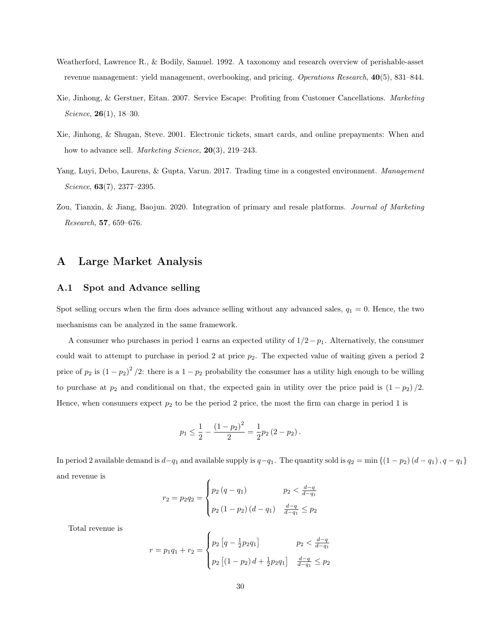- Weatherford, Lawrence R., & Bodily, Samuel. 1992. A taxonomy and research overview of perishable-asset revenue management: yield management, overbooking, and pricing. Operations Research, 40(5), 831–844.
- Xie, Jinhong, & Gerstner, Eitan. 2007. Service Escape: Profiting from Customer Cancellations. Marketing Science,  $26(1)$ ,  $18-30$ .
- Xie, Jinhong, & Shugan, Steve. 2001. Electronic tickets, smart cards, and online prepayments: When and how to advance sell. Marketing Science, 20(3), 219–243.
- Yang, Luyi, Debo, Laurens, & Gupta, Varun. 2017. Trading time in a congested environment. Management Science, 63(7), 2377–2395.
- Zou, Tianxin, & Jiang, Baojun. 2020. Integration of primary and resale platforms. Journal of Marketing Research, 57, 659–676.

## A Large Market Analysis

#### A.1 Spot and Advance selling

Spot selling occurs when the firm does advance selling without any advanced sales,  $q_1 = 0$ . Hence, the two mechanisms can be analyzed in the same framework.

A consumer who purchases in period 1 earns an expected utility of  $1/2-p_1$ . Alternatively, the consumer could wait to attempt to purchase in period 2 at price  $p_2$ . The expected value of waiting given a period 2 price of  $p_2$  is  $(1-p_2)^2/2$ : there is a  $1-p_2$  probability the consumer has a utility high enough to be willing to purchase at  $p_2$  and conditional on that, the expected gain in utility over the price paid is  $(1 - p_2)/2$ . Hence, when consumers expect  $p_2$  to be the period 2 price, the most the firm can charge in period 1 is

$$
p_1 \leq \frac{1}{2} - \frac{(1-p_2)^2}{2} = \frac{1}{2}p_2(2-p_2).
$$

In period 2 available demand is  $d-q_1$  and available supply is  $q-q_1$ . The quantity sold is  $q_2 = \min\{(1 - p_2)(d - q_1), q - q_1\}$ and revenue is  $\epsilon$ 

$$
r_2 = p_2 q_2 = \begin{cases} p_2 (q - q_1) & p_2 < \frac{d - q}{d - q_1} \\ p_2 (1 - p_2) (d - q_1) & \frac{d - q}{d - q_1} \leq p_2 \end{cases}
$$

Total revenue is

$$
r = p_1 q_1 + r_2 = \begin{cases} p_2 \left[ q - \frac{1}{2} p_2 q_1 \right] & p_2 < \frac{d - q}{d - q_1} \\ p_2 \left[ (1 - p_2) \, d + \frac{1}{2} p_2 q_1 \right] & \frac{d - q}{d - q_1} \le p_2 \end{cases}
$$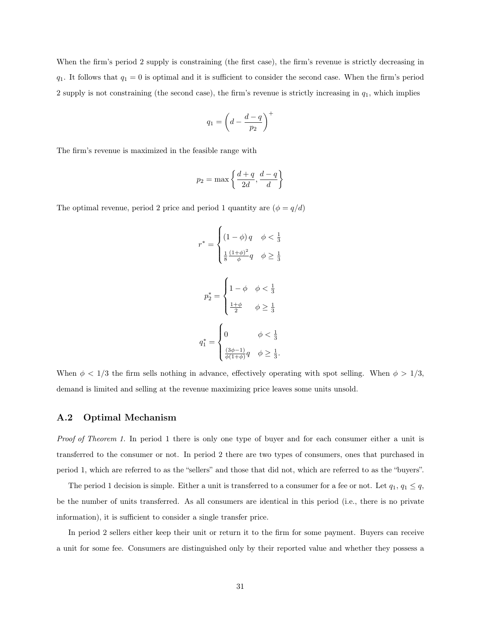When the firm's period 2 supply is constraining (the first case), the firm's revenue is strictly decreasing in  $q_1$ . It follows that  $q_1 = 0$  is optimal and it is sufficient to consider the second case. When the firm's period 2 supply is not constraining (the second case), the firm's revenue is strictly increasing in  $q_1$ , which implies

$$
q_1 = \left(d - \frac{d-q}{p_2}\right)^+
$$

The firm's revenue is maximized in the feasible range with

$$
p_2 = \max\left\{\frac{d+q}{2d}, \frac{d-q}{d}\right\}
$$

The optimal revenue, period 2 price and period 1 quantity are  $(\phi = q/d)$ 

$$
r^* = \begin{cases} (1 - \phi) q & \phi < \frac{1}{3} \\ \frac{1}{8} \frac{(1 + \phi)^2}{\phi} q & \phi \ge \frac{1}{3} \end{cases}
$$

$$
p_2^* = \begin{cases} 1 - \phi & \phi < \frac{1}{3} \\ \frac{1 + \phi}{2} & \phi \ge \frac{1}{3} \end{cases}
$$

$$
q_1^* = \begin{cases} 0 & \phi < \frac{1}{3} \\ \frac{(3\phi - 1)}{\phi(1 + \phi)} q & \phi \ge \frac{1}{3} .\end{cases}
$$

When  $\phi$  < 1/3 the firm sells nothing in advance, effectively operating with spot selling. When  $\phi$  > 1/3, demand is limited and selling at the revenue maximizing price leaves some units unsold.

#### A.2 Optimal Mechanism

Proof of Theorem 1. In period 1 there is only one type of buyer and for each consumer either a unit is transferred to the consumer or not. In period 2 there are two types of consumers, ones that purchased in period 1, which are referred to as the "sellers" and those that did not, which are referred to as the "buyers".

The period 1 decision is simple. Either a unit is transferred to a consumer for a fee or not. Let  $q_1, q_1 \leq q$ , be the number of units transferred. As all consumers are identical in this period (i.e., there is no private information), it is sufficient to consider a single transfer price.

In period 2 sellers either keep their unit or return it to the firm for some payment. Buyers can receive a unit for some fee. Consumers are distinguished only by their reported value and whether they possess a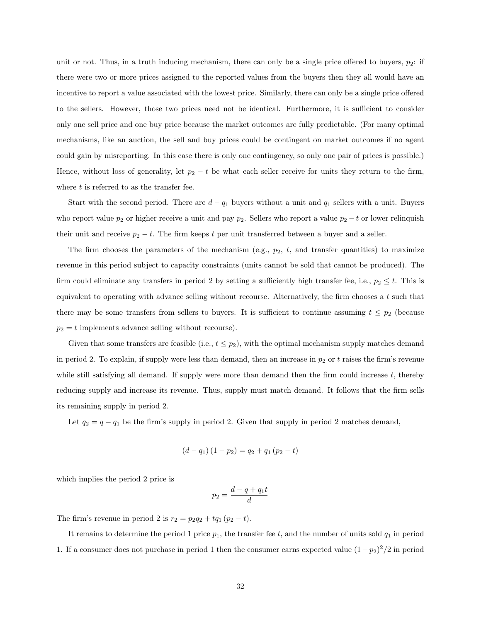unit or not. Thus, in a truth inducing mechanism, there can only be a single price offered to buyers,  $p_2$ : if there were two or more prices assigned to the reported values from the buyers then they all would have an incentive to report a value associated with the lowest price. Similarly, there can only be a single price offered to the sellers. However, those two prices need not be identical. Furthermore, it is sufficient to consider only one sell price and one buy price because the market outcomes are fully predictable. (For many optimal mechanisms, like an auction, the sell and buy prices could be contingent on market outcomes if no agent could gain by misreporting. In this case there is only one contingency, so only one pair of prices is possible.) Hence, without loss of generality, let  $p_2 - t$  be what each seller receive for units they return to the firm, where  $t$  is referred to as the transfer fee.

Start with the second period. There are  $d - q_1$  buyers without a unit and  $q_1$  sellers with a unit. Buyers who report value  $p_2$  or higher receive a unit and pay  $p_2$ . Sellers who report a value  $p_2 - t$  or lower relinquish their unit and receive  $p_2 - t$ . The firm keeps t per unit transferred between a buyer and a seller.

The firm chooses the parameters of the mechanism (e.g.,  $p_2$ ,  $t$ , and transfer quantities) to maximize revenue in this period subject to capacity constraints (units cannot be sold that cannot be produced). The firm could eliminate any transfers in period 2 by setting a sufficiently high transfer fee, i.e.,  $p_2 \leq t$ . This is equivalent to operating with advance selling without recourse. Alternatively, the firm chooses a  $t$  such that there may be some transfers from sellers to buyers. It is sufficient to continue assuming  $t \leq p_2$  (because  $p_2 = t$  implements advance selling without recourse).

Given that some transfers are feasible (i.e.,  $t \leq p_2$ ), with the optimal mechanism supply matches demand in period 2. To explain, if supply were less than demand, then an increase in  $p_2$  or t raises the firm's revenue while still satisfying all demand. If supply were more than demand then the firm could increase  $t$ , thereby reducing supply and increase its revenue. Thus, supply must match demand. It follows that the firm sells its remaining supply in period 2.

Let  $q_2 = q - q_1$  be the firm's supply in period 2. Given that supply in period 2 matches demand,

$$
(d - q_1) (1 - p_2) = q_2 + q_1 (p_2 - t)
$$

which implies the period 2 price is

$$
p_2 = \frac{d-q+q_1t}{d}
$$

The firm's revenue in period 2 is  $r_2 = p_2 q_2 + t q_1 (p_2 - t)$ .

It remains to determine the period 1 price  $p_1$ , the transfer fee t, and the number of units sold  $q_1$  in period 1. If a consumer does not purchase in period 1 then the consumer earns expected value  $(1-p_2)^2/2$  in period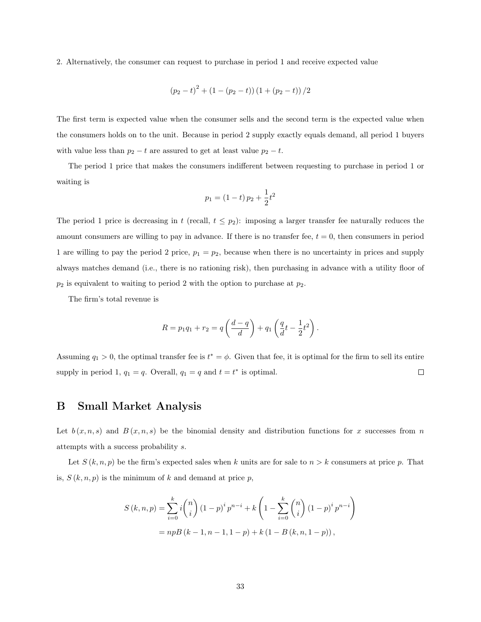2. Alternatively, the consumer can request to purchase in period 1 and receive expected value

$$
(p_2-t)^2 + (1-(p_2-t))(1+(p_2-t))/2
$$

The first term is expected value when the consumer sells and the second term is the expected value when the consumers holds on to the unit. Because in period 2 supply exactly equals demand, all period 1 buyers with value less than  $p_2 - t$  are assured to get at least value  $p_2 - t$ .

The period 1 price that makes the consumers indifferent between requesting to purchase in period 1 or waiting is

$$
p_1 = (1 - t) p_2 + \frac{1}{2} t^2
$$

The period 1 price is decreasing in t (recall,  $t \leq p_2$ ): imposing a larger transfer fee naturally reduces the amount consumers are willing to pay in advance. If there is no transfer fee,  $t = 0$ , then consumers in period 1 are willing to pay the period 2 price,  $p_1 = p_2$ , because when there is no uncertainty in prices and supply always matches demand (i.e., there is no rationing risk), then purchasing in advance with a utility floor of  $p_2$  is equivalent to waiting to period 2 with the option to purchase at  $p_2$ .

The firm's total revenue is

$$
R = p_1 q_1 + r_2 = q \left( \frac{d-q}{d} \right) + q_1 \left( \frac{q}{d} t - \frac{1}{2} t^2 \right).
$$

Assuming  $q_1 > 0$ , the optimal transfer fee is  $t^* = \phi$ . Given that fee, it is optimal for the firm to sell its entire supply in period 1,  $q_1 = q$ . Overall,  $q_1 = q$  and  $t = t^*$  is optimal.  $\Box$ 

# B Small Market Analysis

Let  $b(x, n, s)$  and  $B(x, n, s)$  be the binomial density and distribution functions for x successes from n attempts with a success probability s.

Let  $S(k, n, p)$  be the firm's expected sales when k units are for sale to  $n > k$  consumers at price p. That is,  $S(k, n, p)$  is the minimum of k and demand at price p,

$$
S(k, n, p) = \sum_{i=0}^{k} i {n \choose i} (1-p)^{i} p^{n-i} + k \left( 1 - \sum_{i=0}^{k} {n \choose i} (1-p)^{i} p^{n-i} \right)
$$
  
=  $npB(k - 1, n - 1, 1 - p) + k (1 - B(k, n, 1 - p)),$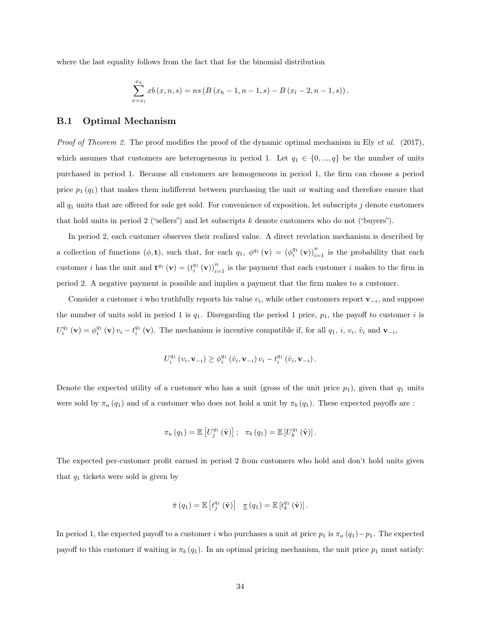where the last equality follows from the fact that for the binomial distribution

$$
\sum_{x=x_l}^{x_h} xb(x, n, s) = ns (B (x_h - 1, n - 1, s) - B (x_l - 2, n - 1, s)).
$$

#### B.1 Optimal Mechanism

*Proof of Theorem 2.* The proof modifies the proof of the dynamic optimal mechanism in Ely et al. (2017), which assumes that customers are heterogeneous in period 1. Let  $q_1 \in \{0, ..., q\}$  be the number of units purchased in period 1. Because all customers are homogeneous in period 1, the firm can choose a period price  $p_1(q_1)$  that makes them indifferent between purchasing the unit or waiting and therefore ensure that all  $q_1$  units that are offered for sale get sold. For convenience of exposition, let subscripts j denote customers that hold units in period 2 ("sellers") and let subscripts  $k$  denote customers who do not ("buyers").

In period 2, each customer observes their realized value. A direct revelation mechanism is described by a collection of functions  $(\phi, \mathbf{t})$ , such that, for each  $q_1$ ,  $\phi^{q_1}(\mathbf{v}) = (\phi_i^{q_1}(\mathbf{v}))_{i=1}^n$  is the probability that each customer *i* has the unit and  $\mathbf{t}^{q_1}(\mathbf{v}) = (t_i^{q_1}(\mathbf{v}))_{i=1}^n$  is the payment that each customer *i* makes to the firm in period 2. A negative payment is possible and implies a payment that the firm makes to a customer.

Consider a customer i who truthfully reports his value  $v_i$ , while other customers report  $\mathbf{v}_{-i}$ , and suppose the number of units sold in period 1 is  $q_1$ . Disregarding the period 1 price,  $p_1$ , the payoff to customer i is  $U_i^{q_1}(\mathbf{v}) = \phi_i^{q_1}(\mathbf{v}) v_i - t_i^{q_1}(\mathbf{v})$ . The mechanism is incentive compatible if, for all  $q_1, i, v_i, \hat{v}_i$  and  $\mathbf{v}_{-i}$ ,

$$
U_i^{q_1}(v_i, \mathbf{v}_{-i}) \ge \phi_i^{q_1}(\hat{v}_i, \mathbf{v}_{-i}) v_i - t_i^{q_1}(\hat{v}_i, \mathbf{v}_{-i}).
$$

Denote the expected utility of a customer who has a unit (gross of the unit price  $p_1$ ), given that  $q_1$  units were sold by  $\pi_a(q_1)$  and of a customer who does not hold a unit by  $\pi_b(q_1)$ . These expected payoffs are :

$$
\pi_a(q_1) = \mathbb{E}\left[U_j^{q_1}(\tilde{\mathbf{v}})\right]; \quad \pi_b(q_1) = \mathbb{E}\left[U_k^{q_1}(\tilde{\mathbf{v}})\right].
$$

The expected per-customer profit earned in period 2 from customers who hold and don't hold units given that  $q_1$  tickets were sold is given by

$$
\bar{\pi}(q_1) = \mathbb{E}\left[t_j^{q_1}(\tilde{\mathbf{v}})\right] \quad \underline{\pi}(q_1) = \mathbb{E}\left[t_k^{q_1}(\tilde{\mathbf{v}})\right].
$$

In period 1, the expected payoff to a customer i who purchases a unit at price  $p_1$  is  $\pi_a(q_1)-p_1$ . The expected payoff to this customer if waiting is  $\pi_b (q_1)$ . In an optimal pricing mechanism, the unit price  $p_1$  must satisfy: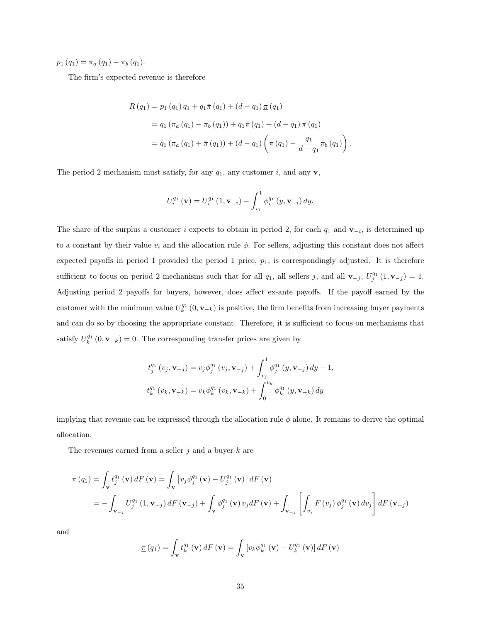$p_1 (q_1) = \pi_a (q_1) - \pi_b (q_1).$ 

The firm's expected revenue is therefore

$$
R(q_1) = p_1 (q_1) q_1 + q_1 \bar{\pi} (q_1) + (d - q_1) \underline{\pi} (q_1)
$$
  
=  $q_1 (\pi_a (q_1) - \pi_b (q_1)) + q_1 \bar{\pi} (q_1) + (d - q_1) \underline{\pi} (q_1)$   
=  $q_1 (\pi_a (q_1) + \bar{\pi} (q_1)) + (d - q_1) \left( \underline{\pi} (q_1) - \frac{q_1}{d - q_1} \pi_b (q_1) \right).$ 

The period 2 mechanism must satisfy, for any  $q_1$ , any customer i, and any **v**,

$$
U_i^{q_1}(\mathbf{v}) = U_i^{q_1}(1, \mathbf{v}_{-i}) - \int_{v_i}^1 \phi_i^{q_1}(y, \mathbf{v}_{-i}) dy.
$$

The share of the surplus a customer i expects to obtain in period 2, for each  $q_1$  and  $\mathbf{v}_{-i}$ , is determined up to a constant by their value  $v_i$  and the allocation rule  $\phi$ . For sellers, adjusting this constant does not affect expected payoffs in period 1 provided the period 1 price,  $p_1$ , is correspondingly adjusted. It is therefore sufficient to focus on period 2 mechanisms such that for all  $q_1$ , all sellers j, and all  $\mathbf{v}_{-j}$ ,  $U_j^{q_1}(1, \mathbf{v}_{-j}) = 1$ . Adjusting period 2 payoffs for buyers, however, does affect ex-ante payoffs. If the payoff earned by the customer with the minimum value  $U_k^{q_1}(0, \mathbf{v}_{-k})$  is positive, the firm benefits from increasing buyer payments and can do so by choosing the appropriate constant. Therefore, it is sufficient to focus on mechanisms that satisfy  $U_k^{q_1}(0, \mathbf{v}_{-k}) = 0$ . The corresponding transfer prices are given by

$$
t_{j}^{q_{1}}(v_{j}, \mathbf{v}_{-j}) = v_{j} \phi_{j}^{q_{1}}(v_{j}, \mathbf{v}_{-j}) + \int_{v_{j}}^{1} \phi_{j}^{q_{1}}(y, \mathbf{v}_{-j}) dy - 1,
$$
  

$$
t_{k}^{q_{1}}(v_{k}, \mathbf{v}_{-k}) = v_{k} \phi_{k}^{q_{1}}(v_{k}, \mathbf{v}_{-k}) + \int_{0}^{v_{k}} \phi_{k}^{q_{1}}(y, \mathbf{v}_{-k}) dy
$$

implying that revenue can be expressed through the allocation rule  $\phi$  alone. It remains to derive the optimal allocation.

The revenues earned from a seller  $j$  and a buyer  $k$  are

$$
\begin{split} \bar{\pi} \left( q_{1} \right) &= \int_{\mathbf{v}} t_{j}^{q_{1}} \left( \mathbf{v} \right) dF \left( \mathbf{v} \right) = \int_{\mathbf{v}} \left[ v_{j} \phi_{j}^{q_{1}} \left( \mathbf{v} \right) - U_{j}^{q_{1}} \left( \mathbf{v} \right) \right] dF \left( \mathbf{v} \right) \\ &= - \int_{\mathbf{v}_{-j}} U_{j}^{q_{1}} \left( 1, \mathbf{v}_{-j} \right) dF \left( \mathbf{v}_{-j} \right) + \int_{\mathbf{v}} \phi_{j}^{q_{1}} \left( \mathbf{v} \right) v_{j} dF \left( \mathbf{v} \right) + \int_{\mathbf{v}_{-j}} \left[ \int_{v_{j}} F \left( v_{j} \right) \phi_{j}^{q_{1}} \left( \mathbf{v} \right) dv_{j} \right] dF \left( \mathbf{v}_{-j} \right) \end{split}
$$

and

$$
\underline{\pi}(q_1) = \int_{\mathbf{v}} t_k^{q_1}(\mathbf{v}) dF(\mathbf{v}) = \int_{\mathbf{v}} \left[ v_k \phi_k^{q_1}(\mathbf{v}) - U_k^{q_1}(\mathbf{v}) \right] dF(\mathbf{v})
$$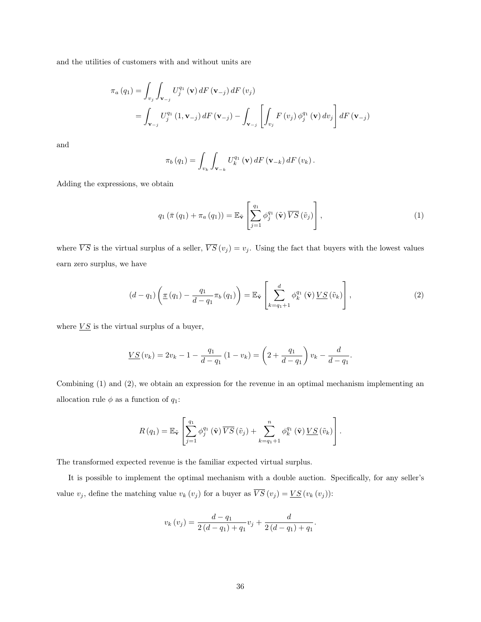and the utilities of customers with and without units are

$$
\pi_{a}(q_{1}) = \int_{v_{j}} \int_{\mathbf{v}_{-j}} U_{j}^{q_{1}}(\mathbf{v}) dF(\mathbf{v}_{-j}) dF(v_{j})
$$
  
= 
$$
\int_{\mathbf{v}_{-j}} U_{j}^{q_{1}}(1, \mathbf{v}_{-j}) dF(\mathbf{v}_{-j}) - \int_{\mathbf{v}_{-j}} \left[ \int_{v_{j}} F(v_{j}) \phi_{j}^{q_{1}}(\mathbf{v}) dv_{j} \right] dF(\mathbf{v}_{-j})
$$

and

$$
\pi_b(q_1) = \int_{v_k} \int_{\mathbf{v}_{-k}} U_k^{q_1}(\mathbf{v}) dF(\mathbf{v}_{-k}) dF(v_k).
$$

Adding the expressions, we obtain

$$
q_1\left(\bar{\pi}\left(q_1\right)+\pi_a\left(q_1\right)\right)=\mathbb{E}_{\tilde{\mathbf{v}}}\left[\sum_{j=1}^{q_1}\phi_j^{q_1}\left(\tilde{\mathbf{v}}\right)\overline{VS}\left(\tilde{v}_j\right)\right],\tag{1}
$$

where  $\overline{VS}$  is the virtual surplus of a seller,  $\overline{VS}(v_j) = v_j$ . Using the fact that buyers with the lowest values earn zero surplus, we have

$$
(d - q_1) \left( \underline{\pi} (q_1) - \frac{q_1}{d - q_1} \pi_b (q_1) \right) = \mathbb{E}_{\tilde{\mathbf{v}}} \left[ \sum_{k=q_1+1}^d \phi_k^{q_1} (\tilde{\mathbf{v}}) \underline{V} S (\tilde{v}_k) \right], \tag{2}
$$

where  $\overline{VS}$  is the virtual surplus of a buyer,

$$
\underline{VS}(v_k) = 2v_k - 1 - \frac{q_1}{d - q_1} (1 - v_k) = \left(2 + \frac{q_1}{d - q_1}\right) v_k - \frac{d}{d - q_1}.
$$

Combining (1) and (2), we obtain an expression for the revenue in an optimal mechanism implementing an allocation rule  $\phi$  as a function of  $q_1:$ 

$$
R(q_1) = \mathbb{E}_{\tilde{\mathbf{v}}}\left[\sum_{j=1}^{q_1} \phi_j^{q_1}(\tilde{\mathbf{v}})\,\overline{VS}\,(\tilde{v}_j) + \sum_{k=q_1+1}^n \phi_k^{q_1}(\tilde{\mathbf{v}})\,\underline{VS}\,(\tilde{v}_k)\right].
$$

The transformed expected revenue is the familiar expected virtual surplus.

It is possible to implement the optimal mechanism with a double auction. Specifically, for any seller's value  $v_j$ , define the matching value  $v_k(v_j)$  for a buyer as  $\overline{VS}(v_j) = \underline{VS}(v_k(v_j))$ :

$$
v_k(v_j) = \frac{d - q_1}{2(d - q_1) + q_1}v_j + \frac{d}{2(d - q_1) + q_1}.
$$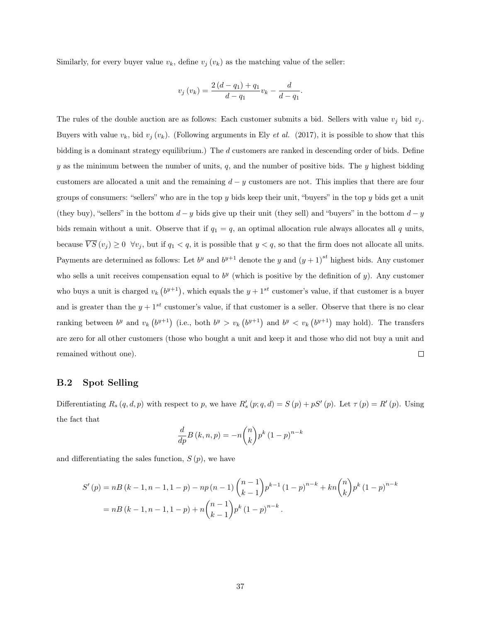Similarly, for every buyer value  $v_k$ , define  $v_j(v_k)$  as the matching value of the seller:

$$
v_j(v_k) = \frac{2(d - q_1) + q_1}{d - q_1} v_k - \frac{d}{d - q_1}.
$$

The rules of the double auction are as follows: Each customer submits a bid. Sellers with value  $v_j$  bid  $v_j$ . Buyers with value  $v_k$ , bid  $v_j(v_k)$ . (Following arguments in Ely *et al.* (2017), it is possible to show that this bidding is a dominant strategy equilibrium.) The d customers are ranked in descending order of bids. Define y as the minimum between the number of units,  $q$ , and the number of positive bids. The y highest bidding customers are allocated a unit and the remaining  $d - y$  customers are not. This implies that there are four groups of consumers: "sellers" who are in the top y bids keep their unit, "buyers" in the top y bids get a unit (they buy), "sellers" in the bottom  $d - y$  bids give up their unit (they sell) and "buyers" in the bottom  $d - y$ bids remain without a unit. Observe that if  $q_1 = q$ , an optimal allocation rule always allocates all q units, because  $\overline{VS}(v_j) \ge 0 \ \forall v_j$ , but if  $q_1 < q$ , it is possible that  $y < q$ , so that the firm does not allocate all units. Payments are determined as follows: Let  $b^y$  and  $b^{y+1}$  denote the y and  $(y+1)^{st}$  highest bids. Any customer who sells a unit receives compensation equal to  $b<sup>y</sup>$  (which is positive by the definition of y). Any customer who buys a unit is charged  $v_k$   $(b^{y+1})$ , which equals the  $y + 1^{st}$  customer's value, if that customer is a buyer and is greater than the  $y + 1^{st}$  customer's value, if that customer is a seller. Observe that there is no clear ranking between  $b^y$  and  $v_k(b^{y+1})$  (i.e., both  $b^y > v_k(b^{y+1})$  and  $b^y < v_k(b^{y+1})$  may hold). The transfers are zero for all other customers (those who bought a unit and keep it and those who did not buy a unit and remained without one).  $\Box$ 

#### B.2 Spot Selling

Differentiating  $R_s(q, d, p)$  with respect to p, we have  $R'_s(p; q, d) = S(p) + pS'(p)$ . Let  $\tau(p) = R'(p)$ . Using the fact that

$$
\frac{d}{dp}B(k,n,p) = -n\binom{n}{k}p^k(1-p)^{n-k}
$$

and differentiating the sales function,  $S(p)$ , we have

$$
S'(p) = nB(k - 1, n - 1, 1 - p) - np(n - 1) {n - 1 \choose k - 1} p^{k - 1} (1 - p)^{n - k} + kn {n \choose k} p^k (1 - p)^{n - k}
$$
  
=  $nB(k - 1, n - 1, 1 - p) + n {n - 1 \choose k - 1} p^k (1 - p)^{n - k}.$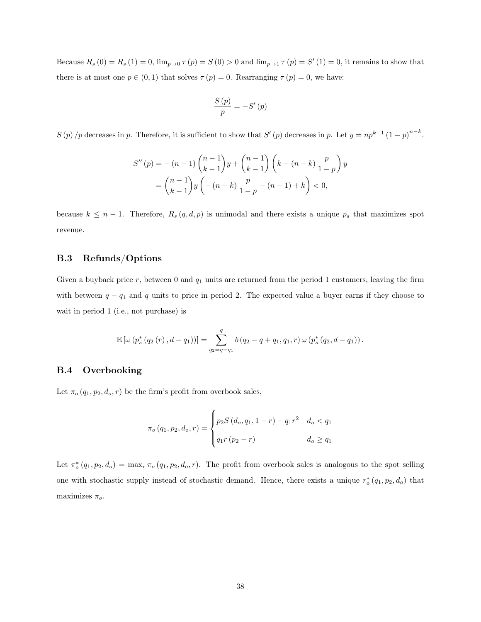Because  $R_s(0) = R_s(1) = 0$ ,  $\lim_{p\to 0} \tau(p) = S(0) > 0$  and  $\lim_{p\to 1} \tau(p) = S'(1) = 0$ , it remains to show that there is at most one  $p \in (0,1)$  that solves  $\tau(p) = 0$ . Rearranging  $\tau(p) = 0$ , we have:

$$
\frac{S\left(p\right)}{p}=-S'\left(p\right)
$$

 $S(p)/p$  decreases in p. Therefore, it is sufficient to show that  $S'(p)$  decreases in p. Let  $y = np^{k-1}(1-p)^{n-k}$ .

$$
S''(p) = -(n-1)\binom{n-1}{k-1}y + \binom{n-1}{k-1}\left(k - (n-k)\frac{p}{1-p}\right)y
$$
  
= 
$$
\binom{n-1}{k-1}y\left(-(n-k)\frac{p}{1-p} - (n-1) + k\right) < 0,
$$

because  $k \leq n-1$ . Therefore,  $R_s(q,d,p)$  is unimodal and there exists a unique  $p_s$  that maximizes spot revenue.

### B.3 Refunds/Options

Given a buyback price  $r$ , between 0 and  $q_1$  units are returned from the period 1 customers, leaving the firm with between  $q - q_1$  and q units to price in period 2. The expected value a buyer earns if they choose to wait in period 1 (i.e., not purchase) is

$$
\mathbb{E}\left[\omega\left(p_s^*\left(q_2\left(r\right),d-q_1\right)\right)\right]=\sum_{q_2=q-q_1}^{q}b\left(q_2-q+q_1,q_1,r\right)\omega\left(p_s^*\left(q_2,d-q_1\right)\right).
$$

#### B.4 Overbooking

Let  $\pi_o(q_1, p_2, d_o, r)$  be the firm's profit from overbook sales,

$$
\pi_o(q_1, p_2, d_o, r) = \begin{cases} p_2 S(d_o, q_1, 1 - r) - q_1 r^2 & d_o < q_1 \\ q_1 r (p_2 - r) & d_o \ge q_1 \end{cases}
$$

Let  $\pi_o^*(q_1, p_2, d_o) = \max_r \pi_o(q_1, p_2, d_o, r)$ . The profit from overbook sales is analogous to the spot selling one with stochastic supply instead of stochastic demand. Hence, there exists a unique  $r_o^*(q_1, p_2, d_o)$  that maximizes  $\pi_o$ .